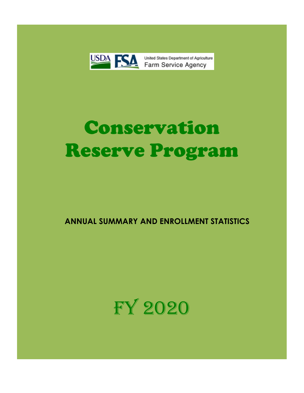

United States Department of Agriculture

# Conservation Reserve Program

 **ANNUAL SUMMARY AND ENROLLMENT STATISTICS**

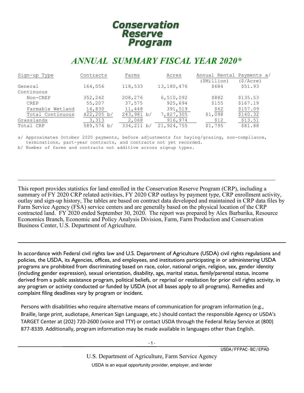# **Conservation Reserve** Program

# *ANNUAL SUMMARY FISCAL YEAR 2020\**

| Sign-up Type     | Contracts            | Farms      | Acres        | Annual Rental Payments a/ |          |
|------------------|----------------------|------------|--------------|---------------------------|----------|
|                  |                      |            |              | (\$Million)               | (S/Acre) |
| General          | 164,056              | 118,533    | 13, 180, 476 | \$684                     | \$51.93  |
| Continuous       |                      |            |              |                           |          |
| Non-CREP         | 352,242              | 208,276    | 6,510,092    | \$882                     | \$135.53 |
| <b>CREP</b>      | 55,207               | 37,575     | 925,694      | \$155                     | \$167.19 |
| Farmable Wetland | 14,830               | 11,448     | 391,519      | \$62                      | \$157.09 |
| Total Continuous | $422, 205 \text{ b}$ | 243,981 b/ | 7,827,305    | \$1,098                   | \$140.32 |
| Grasslands       | 3,313                | 2,068      | 916,974      | \$12                      | \$13.51  |
| Total CRP        | 589,574 b/           | 334,211 b/ | 21,924,755   | \$1,795                   | \$81.88  |

a/ Approximates October 2020 payments, before adjustments for haying/grazing, non-compliance, terminations, part-year contracts, and contracts not yet recorded.

b/ Number of farms and contracts not additive across signup types.

ı

This report provides statistics for land enrolled in the Conservation Reserve Program (CRP), including a summary of FY 2020 CRP related activities, FY 2020 CRP outlays by payment type, CRP enrollment activity, outlay and sign-up history, The tables are based on contract data developed and maintained in CRP data files by Farm Service Agency (FSA) service centers and are generally based on the physical location of the CRP contracted land. FY 2020 ended September 30, 2020. The report was prepared by Alex Barbarika, Resource Economics Branch, Economic and Policy Analysis Division, Farm, Farm Production and Conservation Business Center, U.S. Department of Agriculture.

In accordance with Federal civil rights law and U.S. Department of Agriculture (USDA) civil rights regulations and policies, the USDA, its Agencies, offices, and employees, and institutions participating in or administering USDA programs are prohibited from discriminating based on race, color, national origin, religion, sex, gender identity (including gender expression), sexual orientation, disability, age, marital status, family/parental status, income derived from a public assistance program, political beliefs, or reprisal or retaliation for prior civil rights activity, in any program or activity conducted or funded by USDA (not all bases apply to all programs). Remedies and complaint filing deadlines vary by program or incident.

J,

Persons with disabilities who require alternative means of communication for program information (e.g., Braille, large print, audiotape, American Sign Language, etc.) should contact the responsible Agency or USDA's TARGET Center at (202) 720-2600 (voice and TTY) or contact USDA through the Federal Relay Service at (800) 877-8339. Additionally, program information may be made available in languages other than English.

USDA/FFPAC-BC/EPAD

U.S. Department of Agriculture, Farm Service Agency USDA is an equal opportunity provider, employer, and lender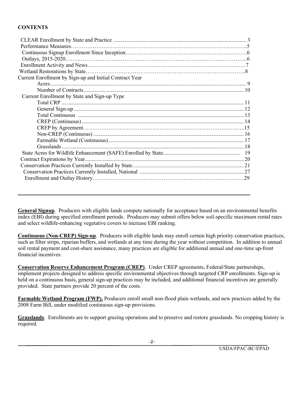#### **CONTENTS**

| Current Enrollment by Sign-up and Initial Contract Year |  |
|---------------------------------------------------------|--|
|                                                         |  |
|                                                         |  |
| Current Enrollment by State and Sign-up Type            |  |
|                                                         |  |
|                                                         |  |
|                                                         |  |
|                                                         |  |
|                                                         |  |
|                                                         |  |
|                                                         |  |
|                                                         |  |
|                                                         |  |
|                                                         |  |
|                                                         |  |
|                                                         |  |
|                                                         |  |

**General Signup**. Producers with eligible lands compete nationally for acceptance based on an environmental benefits index (EBI) during specified enrollment periods. Producers may submit offers below soil-specific maximum rental rates and select wildlife-enhancing vegetative covers to increase EBI ranking.

**Continuous (Non-CREP) Sign-up**. Producers with eligible lands may enroll certain high priority conservation practices, such as filter strips, riparian buffers, and wetlands at any time during the year without competition. In addition to annual soil rental payment and cost-share assistance, many practices are eligible for additional annual and one-time up-front financial incentives.

**Conservation Reserve Enhancement Program (CREP)**. Under CREP agreements, Federal/State partnerships, implement projects designed to address specific environmental objectives through targeted CRP enrollments. Sign-up is held on a continuous basis, general sign-up practices may be included, and additional financial incentives are generally provided. State partners provide 20 percent of the costs.

**Farmable Wetland Program (FWP).** Producers enroll small non-flood plain wetlands, and new practices added by the 2008 Farm Bill, under modified continuous sign-up provisions.

**Grasslands**. Enrollments are to support grazing operations and to preserve and restore grasslands. No cropping history is required.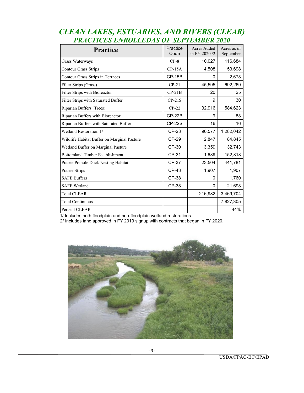| <b>Practice</b>                             | Practice<br>Code | Acres Added<br>in FY 2020/2 | Acres as of<br>September |
|---------------------------------------------|------------------|-----------------------------|--------------------------|
| Grass Waterways                             | $CP-8$           | 10,027                      | 116,684                  |
| <b>Contour Grass Strips</b>                 | $CP-15A$         | 4,508                       | 53,698                   |
| Contour Grass Strips in Terraces            | $CP-15B$         | $\Omega$                    | 2,678                    |
| Filter Strips (Grass)                       | $CP-21$          | 45,595                      | 692,269                  |
| Filter Strips with Bioreactor               | $CP-21B$         | 20                          | 25                       |
| Filter Strips with Saturated Buffer         | $CP-21S$         | 9                           | 30                       |
| Riparian Buffers (Trees)                    | $CP-22$          | 32,916                      | 584,623                  |
| Riparian Buffers with Bioreactor            | $CP-22B$         | 9                           | 88                       |
| Riparian Buffers with Saturated Buffer      | <b>CP-22S</b>    | 16                          | 16                       |
| Wetland Restoration 1/                      | CP-23            | 90,577                      | 1,282,042                |
| Wildlife Habitat Buffer on Marginal Pasture | <b>CP-29</b>     | 2,847                       | 84,845                   |
| Wetland Buffer on Marginal Pasture          | CP-30            | 3,359                       | 32,743                   |
| <b>Bottomland Timber Establishment</b>      | CP-31            | 1,689                       | 152,818                  |
| Prairie Pothole Duck Nesting Habitat        | CP-37            | 23,504                      | 441,781                  |
| Prairie Strips                              | <b>CP-43</b>     | 1,907                       | 1,907                    |
| <b>SAFE Buffers</b>                         | CP-38            | 0                           | 1,760                    |
| <b>SAFE Wetland</b>                         | <b>CP-38</b>     | $\Omega$                    | 21,698                   |
| <b>Total CLEAR</b>                          |                  | 216,982                     | 3,469,704                |
| <b>Total Continuous</b>                     |                  |                             | 7,827,305                |
| Percent CLEAR                               |                  |                             | 44%                      |

## *CLEAN LAKES, ESTUARIES, AND RIVERS (CLEAR) PRACTICES ENROLLEDAS OF SEPTEMBER 2020*

1/ Includes both floodplain and non-floodplain wetland restorations.

2/ Includes land approved in FY 2019 signup with contracts that began in FY 2020.

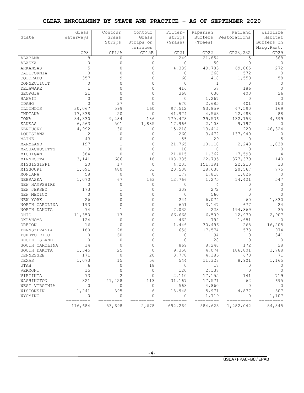#### **CLEAR ENROLLMENT BY STATE AND PRACTICE – AS OF SEPTEMBER 2020**

|                 | Grass     | Contour      | Contour      | Filter-        | Riparian  | Wetland      | Wildlife       |
|-----------------|-----------|--------------|--------------|----------------|-----------|--------------|----------------|
| State           | Waterways | Grass        | Grass        | strips         | Buffers   | Restorations | Habitat        |
|                 |           | Strips       | Strips on    | (Grass)        | (Trees)   |              | Buffers on     |
|                 |           |              | terraces     |                |           |              | Marq.Past.     |
|                 | CP8       | CP15A        | CP15B        | CP21           | CP22      | CP23, 23A    | CP29           |
| ALABAMA         | 8         | $\mathbf{0}$ | 0            | 249            | 21,854    | 5            | 368            |
| ALASKA          | $\Omega$  | $\Omega$     | $\mathbf{0}$ | $\mathbf{0}$   | 50        | 0            | $\circ$        |
| ARKANSAS        | 5         | $\Omega$     | $\Omega$     | 4,339          | 49,783    | 69,865       | 272            |
| CALIFORNIA      | $\circ$   | O            | $\Omega$     | 0              | 268       | 572          | 0              |
| COLORADO        | 357       |              | $\Omega$     | 60             | 418       | 1,550        | 58             |
| CONNECTICUT     | 0         |              | $\Omega$     | 0              |           | 1<br>0       | 0              |
| DELAWARE        | 1         | $\Omega$     | $\Omega$     | 416            | 57        | 186          | $\Omega$       |
| GEORGIA         | 21        | $\Omega$     | $\Omega$     | 368            | 630       | 403          | 26             |
| HAWAII          | $\Omega$  | $\Omega$     | $\Omega$     | $\circ$        | 1,267     | 0            | $\mathbf{0}$   |
| IDAHO           | $\Omega$  | 37           | $\Omega$     | 670            | 2,685     | 401          | 103            |
| ILLINOIS        | 30,067    | 599          | 160          | 97,512         | 93,859    | 47,590       | 169            |
|                 | 17,338    | 20           | 0            | 41,974         | 4,563     | 12,988       | 88             |
| INDIANA<br>IOWA |           | 9,284        | 186          |                |           |              |                |
|                 | 34,330    |              |              | 179,478        | 39,536    | 132,153      | 4,699          |
| KANSAS          | 6,563     | 501          | 1,885        | 17,966         | 2,108     | 9,197        | 0              |
| KENTUCKY        | 4,992     | 30           | 0            | 15,218         | 13,414    | 220          | 46,324         |
| LOUISIANA       | 2         | $\Omega$     | $\Omega$     | 260            | 3,472     | 137,940      | 0              |
| MAINE           | 43        | $\Omega$     | $\Omega$     | 55             | 29        | 0            | 5              |
| MARYLAND        | 197       | 1            | $\mathbf{0}$ | 21,765         | 10,110    | 2,248        | 1,038          |
| MASSACHUSETTS   | $\circ$   | $\Omega$     | $\Omega$     | 10             |           | 0<br>0       | $\Omega$       |
| MICHIGAN        | 384       | $\Omega$     | $\Omega$     | 21,015         | 1,362     | 17,598       | 4              |
| MINNESOTA       | 3,141     | 686          | 18           | 108,335        | 22,795    | 377,379      | 140            |
| MISSISSIPPI     | 20        | 17           | $\mathbf{0}$ | 4,203          | 151,391   | 22,210       | 33             |
| MISSOURI        | 1,691     | 480          | 51           | 20,508         | 18,638    | 20,567       | 775            |
| MONTANA         | 58        | 0            | 0            | 177            | 1,818     | 1,826        | 0              |
| NEBRASKA        | 1,070     | 67           | 163          | 12,766         | 1,275     | 14,421       | 547            |
| NEW HAMPSHIRE   | 0         | $\Omega$     | 0            | 0              |           | 4<br>0       | 0              |
| NEW JERSEY      | 173       |              | $\Omega$     | 309            | 272       | $\Omega$     | $\Omega$       |
| NEW MEXICO      | $\circ$   | $\Omega$     | $\mathbf{0}$ | $\mathbf{0}$   | 560       | 0            | $\Omega$       |
| NEW YORK        | 26        | $\Omega$     | $\Omega$     | 244            | 6,074     | 60           | 1,330          |
| NORTH CAROLINA  | 193       | $\Omega$     | $\Omega$     | 651            | 3,147     | 677          | 24             |
| NORTH DAKOTA    | 74        | 1            | 0            | 7,032          | 223       | 194,869      | 35             |
| OHIO            | 11,350    | 13           | $\mathbf{0}$ | 66,668         | 6,509     | 12,970       | 2,907          |
| OKLAHOMA        | 124       | $\Omega$     | $\Omega$     | 462            | 792       | 1,681        | $\Omega$       |
| OREGON          | 16        | 0            | 0            | 1,446          | 30,496    | 268          | 16,205         |
| PENNSYLVANIA    | 180       | 28           | $\Omega$     | 656            | 17,574    | 573          | 974            |
| PUERTO RICO     | 0         | 60           | 0            | 0              | 94        | 0            | 341            |
| RHODE ISLAND    | $\circ$   | $\Omega$     | $\Omega$     | $\Omega$       | 28        | 0            | 0              |
| SOUTH CAROLINA  | 14        | 0            | 0            | 869            | 8,248     | 172          | 28             |
| SOUTH DAKOTA    | 1,345     | 25           |              | 9,358          | 4,074     | 186,801      | 3,788          |
| TENNESSEE       | 171       | $\circ$      | 20           | 3,778          | 4,386     | 673          | 71             |
| TEXAS           | 1,073     | 15           | 56           | 544            | 11,328    | 8,901        | 1,165          |
| UTAH            | 6         | $\circ$      | 18           | $\mathbf 0$    | 17        | $\circ$      | $\circ$        |
| VERMONT         | 15        | $\Omega$     | $\mathbf{0}$ | 120            | 2,137     | 0            | $\circ$        |
| VIRGINIA        | 73        | 2            | 0            | 2,110          | 17,155    | 141          | 719            |
| WASHINGTON      | 321       | 41,428       | 113          | 31,167         | 17,571    | 62           | 695            |
| WEST VIRGINIA   | 0         | 0            | 0            | 563            | 4,860     | $\circ$      | $\overline{0}$ |
| WISCONSIN       | 1,241     | 395          | 6            | 18,948         | 5,971     | 4,877        | 807            |
| WYOMING         | $\circ$   | 0            | $\mathbf{0}$ | $\overline{0}$ | 1,719     | $\circ$      | 1,107          |
|                 | ========= | =========    | =========    | ---------      | ========= | =========    | =========      |
|                 | 116,684   | 53,698       | 2,678        | 692,269        | 584,623   | 1,282,042    | 84,845         |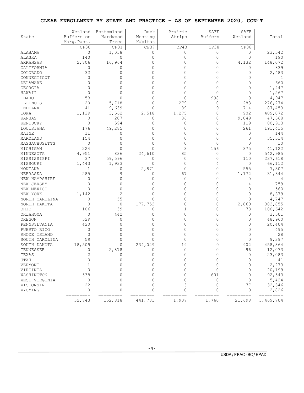#### **CLEAR ENROLLMENT BY STATE AND PRACTICE – AS OF SEPTEMBER 2020, CON'T**

|                         | Wetland              | Bottomland           | Duck                 | Prairie            | SAFE               | SAFE                 |                             |
|-------------------------|----------------------|----------------------|----------------------|--------------------|--------------------|----------------------|-----------------------------|
| State                   | Buffers on           | Hardwood             | Nesting<br>Habitat   | Strips             | <b>Buffers</b>     | Wetland              | Total                       |
|                         | Marq.Past.<br>CP30   | Trees<br>CP31        | CP37                 | CP43               | CP38               | CP38                 |                             |
| <b>ALABAMA</b>          | $\circ$              | 1,058                | $\mathbf{0}$         | 0                  | 0                  |                      | 23,542                      |
| ALASKA                  | 140                  | $\mathbf{0}$         | $\Omega$             | $\Omega$           | 0                  | 0<br>0               | 190                         |
| ARKANSAS                | 2,706                |                      | $\Omega$             | $\Omega$           | $\Omega$           | 4,132                | 148,072                     |
|                         |                      | 16,964               | $\Omega$             | 0                  | $\Omega$           |                      |                             |
| CALIFORNIA              | 0<br>32              | 0                    | 0                    | 0                  | $\Omega$           | 0                    | 839                         |
| COLORADO<br>CONNECTICUT |                      | $\Omega$             | 0                    | U                  | $\Omega$           | 0                    | 2,483                       |
|                         | $\Omega$<br>$\Omega$ | $\Omega$<br>$\cap$   | $\Omega$             | U                  | $\Omega$           | $\Omega$<br>$\Omega$ | 1                           |
| DELAWARE                |                      | 0                    | 0                    |                    |                    |                      | 660                         |
| <b>GEORGIA</b>          | 0                    |                      |                      | 0                  | 0                  | 0                    | 1,447                       |
| HAWAII                  | 0                    | 0                    | 0                    | $\Omega$           | $\Omega$           | $\Omega$             | 1,267                       |
| <b>IDAHO</b>            | 53                   | $\Omega$             | $\Omega$             | $\Omega$           | 998                | $\Omega$             | 4,947                       |
| ILLINOIS                | 20                   | 5,718                | $\Omega$             | 279                | 0                  | 283                  | 276,274                     |
| INDIANA                 | 41                   | 9,639                | $\Omega$             | 89                 | 0                  | 714                  | 87,453                      |
| IOWA                    | 1,139                | 3,562                | 2,518                | 1,275              | $\Omega$           | 902                  | 409,072                     |
| KANSAS                  | 0                    | 207                  | 0                    | 86                 | 0                  | 9,049                | 47,568                      |
| KENTUCKY                | 0                    | 594                  | $\Omega$             | 0                  | $\mathbf{0}$       | 119                  | 80,913                      |
| LOUISIANA               | 176                  | 49,285               | $\Omega$             | $\Omega$           | $\Omega$           | 261                  | 191,415                     |
| MAINE                   | 11                   | $\Omega$             | $\Omega$             | $\Omega$           | $\Omega$           | 0                    | 144                         |
| MARYLAND                | 154                  | 0                    | 0                    | 0                  | 0                  | 0                    | 35,514                      |
| MASSACHUSETTS           | $\circ$              | $\Omega$             | $\Omega$             | $\Omega$           | $\Omega$           | $\Omega$             | 10                          |
| MICHIGAN                | 224                  | $\Omega$             | $\cap$               | 3                  | 156                | 375                  | 41,122                      |
| MINNESOTA               | 4,951                | 836                  | 24,610               | 85                 | 0                  | 0                    | 542,985                     |
| MISSISSIPPI             | 37                   | 59,596               | $\Omega$             | 0                  | 0                  | 110                  | 237,618                     |
| MISSOURI                | 1,443                | 1,933                | $\Omega$             | $\Omega$           | 4                  | 0                    | 66,112                      |
| MONTANA                 | 1                    | 0                    | 2,871                | $\Omega$           | 0                  | 555                  | 7,307                       |
| NEBRASKA                | 285                  | 9                    | 0                    | 67                 | 0                  | 1,172                | 31,844                      |
| NEW HAMPSHIRE           | $\Omega$             | $\Omega$             | $\Omega$             | $\Omega$           | $\Omega$           | 0                    | 4                           |
| NEW JERSEY              | $\Omega$             | $\Omega$             | $\Omega$             | $\Omega$           | $\Omega$           | 4                    | 759                         |
| NEW MEXICO              | $\Omega$             | 0                    | 0                    | 0                  | 0                  | 0                    | 560                         |
| NEW YORK                | 1,142                | 2                    | $\Omega$             | 0                  | $\Omega$           | $\Omega$             | 8,879                       |
| NORTH CAROLINA          | 0                    | 55                   | $\Omega$             | $\Omega$           | $\Omega$           | $\Omega$             | 4,747                       |
| NORTH DAKOTA            | $\Omega$             | $\circ$              | 177,752              | $\Omega$           | 0                  | 2,869                | 382,855                     |
| OHIO                    | 106                  | 39                   | $\Omega$             | 1                  | $\Omega$           | 78                   | 100,642                     |
| OKLAHOMA                | 0                    | 442                  | $\Omega$             | $\Omega$           | $\Omega$           | 0                    | 3,501                       |
| OREGON                  | 529                  | 0                    | $\Omega$             | $\Omega$           | $\Omega$           | 0                    | 48,960                      |
| PENNSYLVANIA            | 420                  | $\Omega$             | $\Omega$             | 0                  | $\Omega$           | $\Omega$             | 20,404                      |
| PUERTO RICO             | 0                    | U                    | 0                    | 0                  | $\Omega$           | $\Omega$             | 495                         |
| RHODE ISLAND            | $\Omega$             | U                    | $\cap$               | $\Omega$           | $\Omega$           | $\Omega$             | 28                          |
| SOUTH CAROLINA          | 59                   | 0                    | 0                    | 0                  | 0                  | 0                    | 9,397                       |
| SOUTH DAKOTA            | 18,509               | 0                    | 234,029              | 19                 | $\Omega$           | 902                  | 458,864                     |
| TENNESSEE               |                      | 2,878                |                      |                    |                    | 96                   | 12,073                      |
| TEXAS                   | 2                    | 0                    |                      |                    |                    | $\Omega$             | 23,083                      |
| UTAH                    | $\cap$               | $\Omega$             | U                    | <sup>∩</sup>       | U                  | $\Omega$             | 41                          |
| VERMONT                 |                      | $\cap$               |                      |                    |                    | $\Omega$             | 2,273                       |
| VIRGINIA                | O                    |                      |                      |                    | 0                  | 0                    | 20,199                      |
| WASHINGTON              | 538                  |                      |                      |                    | 601                | $\Omega$             | 92,543                      |
| WEST VIRGINIA           | 0                    |                      |                      |                    | $\Omega$           | O                    | 5,424                       |
| WISCONSIN               | 22                   | ∩                    | ∩                    | 3                  | $\Omega$           | 77                   | 32,346                      |
| WYOMING                 | $\circ$              | 0                    |                      | $\Omega$           | $\Omega$           | 0                    | 2,826                       |
|                         | ---------<br>32,743  | =========<br>152,818 | =========<br>441,781 | =========<br>1,907 | =========<br>1,760 | ---------<br>21,698  | ======<br>$==$<br>3,469,704 |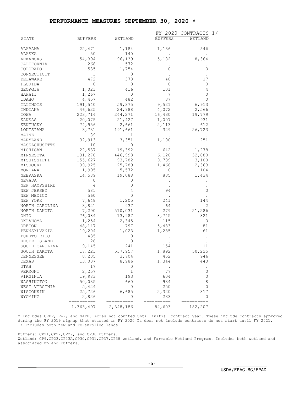#### **PERFORMANCE MEASURES SEPTEMBER 30, 2020 \***

|                                |                |                | FY 2020          | CONTRACTS<br>$\perp/$ |
|--------------------------------|----------------|----------------|------------------|-----------------------|
| STATE                          | <b>BUFFERS</b> | WETLAND        | <b>BUFFERS</b>   | WETLAND               |
|                                |                |                |                  |                       |
| ALABAMA                        | 22,471         | 1,184          | 1,136            | 546                   |
| ALASKA                         | 50             | 140            |                  |                       |
| ARKANSAS                       | 54,394<br>268  | 96,139<br>572  | 5,182            | 8,364                 |
| CALIFORNIA<br>COLORADO         | 535            | 1,754          | 0                | 0                     |
| CONNECTICUT                    | 1              | 0              |                  |                       |
| DELAWARE                       | 472            | 378            | 48               | 17                    |
| FLORIDA                        | $\overline{0}$ | 0              | $\circ$          | 0                     |
| GEORGIA                        | 1,023          | 416            | 101              | 4                     |
| HAWAII                         | 1,267          | 0              | 7                | 0                     |
| IDAHO                          | 4,457          | 482            | 87               | $\mathbf 0$           |
| ILLINOIS                       | 191,540        | 59,375         | 9,521            | 6,913                 |
| INDIANA                        | 46,625         | 24,988         | 4,072            | 2,566                 |
| IOWA                           | 223,714        | 244,271        | 16,430           | 19,779                |
| KANSAS                         | 20,075         | 21,427         | 1,007            | 931                   |
| KENTUCKY                       | 74,956         | 2,661          | 2,113            | 612                   |
| LOUISIANA                      | 3,731          | 191,661        | 329              | 26,723                |
| MAINE                          | 89             | 11             |                  |                       |
| MARYLAND                       | 32,913         | 3,351          | 1,100            | 251                   |
| MASSACHUSETTS                  | 10             | 0              | $\blacksquare$ . |                       |
| MICHIGAN                       | 22,537         | 19,392         | 642              | 1,278                 |
| MINNESOTA                      | 131,270        | 446,998        | 6,120            | 32,880                |
| MISSISSIPPI                    | 155,627        | 93,782         | 9,789            | 3,100                 |
| MISSOURI                       | 39,925         | 25,789         | 1,468            | 2,363                 |
| MONTANA                        | 1,995          | 5,572          | 0                | 104                   |
| NEBRASKA                       | 14,589         | 19,088         | 885              | 1,434                 |
| NEVADA                         | 0              | 0              |                  |                       |
| NEW HAMPSHIRE                  | 4              | $\circ$        |                  |                       |
| NEW JERSEY                     | 581            | $\overline{4}$ | 94               | 0                     |
| NEW MEXICO                     | 560            | 0              |                  |                       |
| NEW YORK                       | 7,648          | 1,205          | 241              | 144                   |
| NORTH CAROLINA                 | 3,821          | 937            | 64               | 2                     |
| NORTH DAKOTA                   | 7,290          | 510,031        | 279              | 21,286                |
| OHIO                           | 76,084         | 13,987         | 8,745            | 821                   |
| OKLAHOMA                       | 1,254          | 2,345          | 115              | 0                     |
| OREGON                         | 48,147         | 797            | 5,483            | 81                    |
| PENNSYLVANIA                   | 19,204         | 1,023          | 1,285            | 61                    |
| PUERTO RICO                    | 435<br>28      | 0<br>0         |                  |                       |
| RHODE ISLAND<br>SOUTH CAROLINA | 9,145          | 241            | 154              | 11                    |
| SOUTH DAKOTA                   | 17,221         | 537,957        | 1,892            | 50,225                |
| TENNESSEE                      | 8,235          | 3,704          | 452              | 946                   |
| TEXAS                          | 13,037         | 8,986          | 1,344            | 440                   |
| <b>UTAH</b>                    | 17             | 0              |                  |                       |
| VERMONT                        | 2,257          | 1              | 77               | 0                     |
| VIRGINIA                       | 19,983         | 193            | 604              | 0                     |
| WASHINGTON                     | 50,035         | 660            | 934              | 8                     |
| WEST VIRGINIA                  | 5,424          | 0              | 250              | 0                     |
| WISCONSIN                      | 25,726         | 6,685          | 2,320            | 317                   |
| WYOMING                        | 2,826          | 0              | 233              | 0                     |
|                                | ==========     | ----------     | ==========       | ----------            |
|                                | 1,363,497      | 2,348,186      | 84,603           | 182,207               |

\* Includes CREP, FWP, and SAFE. Acres not counted until initial contract year. These include contracts approved during the FY 2019 signup that started in FY 2020 It does not include contracts do not start until FY 2021. 1/ Includes both new and re-enrolled lands.

Buffers: CP21,CP22,CP29, and CP38 buffers.

Wetland: CP9,CP23,CP23A,CP30,CP31,CP37,CP38 wetland, and Farmable Wetland Program. Includes both wetland and associated upland buffers.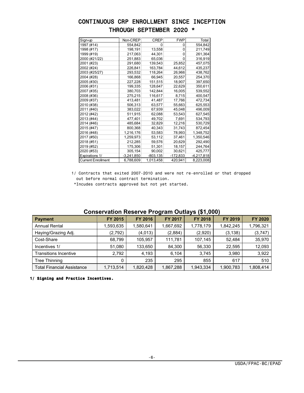## CONTINUOUS CRP ENROLLMENT SINCE INCEPTION THROUGH SEPTEMBER 2020 \*

| Sign-up                   | Non-CREP     | <b>CREP</b> | <b>FWP</b> | Total        |
|---------------------------|--------------|-------------|------------|--------------|
| 1997 (#14)                | 554,842      | 0           | 0          | 554,842      |
| 1998 (#17)                | 198,191      | 13,558      | 0          | 211,749      |
| 1999 (#19)                | 217,063      | 44,301      | 0          | 261,364      |
| 2000 (#21/22)             | 251,883      | 65,036      | 0          | 316,919      |
| 2001 (#23)                | 291,680      | 139.543     | 25,852     | 457,075      |
| 2002 (#24)                | 226,841      | 163,784     | 44,612     | 435,237      |
| 2003 (#25/27)             | 293,532      | 118,264     | 26,966     | 438,762      |
| 2004 (#28)                | 166,868      | 66.945      | 20,557     | 254,370      |
| 2005 (#30)                | 227,228      | 151,515     | 18,907     | 397,650      |
| 2006 (#31)                | 199,335      | 128,647     | 22,629     | 350,611      |
| 2007 (#35)                | 380,703      | 142,844     | 16,005     | 539,552      |
| 2008 (#36)                | 275,215      | 116,617     | 8,715      | 400,547      |
| 2009 (#37)                | 413,481      | 41,487      | 17,766     | 472,734      |
| 2010 (#38)                | 506,313      | 63,577      | 55,663     | 625,553      |
| 2011 (#40)                | 383,022      | 67,939      | 45,048     | 496,009      |
| 2012 (#42)                | 511,915      | 62,088      | 53,543     | 627,545      |
| 2013 (#44)                | 477,401      | 49,702      | 7,691      | 534,793      |
| 2014 (#46)                | 485,684      | 32,829      | 12,216     | 530,729      |
| 2015 (#47)                | 800,368      | 40,343      | 31,743     | 872,454      |
| 2016 (#48)                | 1,216,176    | 53,583      | 78,993     | 1,348,752    |
| 2017 (#50)                | 1,259,973    | 53,112      | 37,461     | 1,350,546    |
| 2018 (#51)                | 212,285      | 59,576      | 20,629     | 292,490      |
| 2019 (#52)                | 175,306      | 51,301      | 18,157     | 244,764      |
| 2020 (#53)                | 305,154      | 90,002      | 30,621     | 425,777      |
| Expirations 1/            | $-3,241,850$ | $-803, 135$ | -172,833   | $-4,217,818$ |
| <b>Current Enrollment</b> | 6,788,609    | 1,013,458   | 420,941    | 8,223,008    |
|                           |              |             |            |              |

1/ Contracts that exited 2007-2010 and were not re-enrolled or that dropped out before normal contract termination.

\*Incudes contracts approved but not yet started.

#### **Conservation Reserve Program Outlays (\$1,000)**

|                                   |           |           |           | - 17.1--  |           |                |
|-----------------------------------|-----------|-----------|-----------|-----------|-----------|----------------|
| <b>Payment</b>                    | FY 2015   | FY 2016   | FY 2017   | FY 2018   | FY 2019   | <b>FY 2020</b> |
| <b>Annual Rental</b>              | 593,635,ا | 1,580,641 | 1,667,692 | 1,778,179 | 1,842,245 | 1,796,321      |
| Haying/Grazing Adj.               | (2,792)   | (4,013)   | (2,884)   | (2,920)   | (3, 138)  | (3,747)        |
| Cost-Share                        | 68,799    | 105,957   | 111,781   | 107,145   | 52,484    | 35,970         |
| Incentives 1/                     | 51,080    | 133,650   | 84.300    | 56,330    | 22.595    | 12,093         |
| <b>Transitions Incentive</b>      | 2.792     | 4,193     | 6.104     | 3,745     | 3.980     | 3,922          |
| <b>Tree Thinning</b>              | 0         | 235       | 295       | 855       | 617       | 510            |
| <b>Total Financial Assistance</b> | 1,713,514 | 1,820,428 | 1,867,288 | 1,943,334 | 1,900,783 | 1,808,414      |

 **1/ Signing and Practice Incentives.**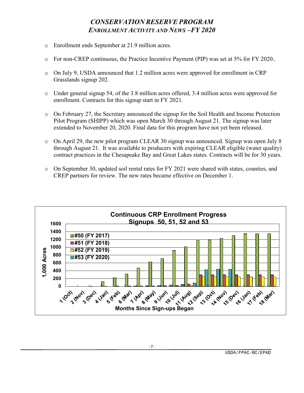## *CONSERVATION RESERVE PROGRAM ENROLLMENT ACTIVITY AND NEWS –FY 2020*

- o Enrollment ends September at 21.9 million acres.
- o For non-CREP continuous, the Practice Incentive Payment (PIP) was set at 5% for FY 2020..
- $\circ$  On July 9, USDA announced that 1.2 million acres were approved for enrollment in CRP Grasslands signup 202.
- o Under general signup 54, of the 3.8 million acres offered, 3.4 million acres were approved for enrollment. Contracts for this signup start in FY 2021.
- o On February 27, the Secretary announced the signup for the Soil Health and Income Protection Pilot Program (SHIPP) which was open March 30 through August 21. The signup was later extended to November 20, 2020. Final data for this program have not yet been released.
- o On April 29, the new pilot program CLEAR 30 signup was announced. Signup was open July 8 through August 21. It was available to producers with expiring CLEAR eligible (water quality) contract practices in the Chesapeake Bay and Great Lakes states. Contracts will be for 30 years.
- o On September 30, updated soil rental rates for FY 2021 were shared with states, counties, and CREP partners for review. The new rates became effective on December 1.

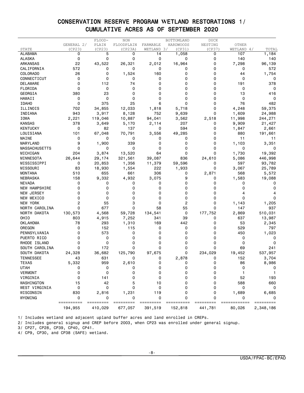## CONSERVATION RESERVE PROGRAM **W**ETLAND RESTORATIONS 1/ CUMULATIVE ACRES AS OF SEPTEMBER 2020

|                      |                 | FLOOD-  | <b>NON</b> |             | BOTTOMLAND | <b>DUCK</b> |            |           |
|----------------------|-----------------|---------|------------|-------------|------------|-------------|------------|-----------|
|                      | GENERAL 2/      | PLAIN   | FLOODPLAIN | FARMABLE    | HARDWOODS  | NESTING     | OTHER      |           |
| STATE                | (CP23)          | (CP23)  | (CP23A)    | WETLAND 3/  | (CP31)     | (CP37)      | WETLAND 4/ | TOTAL     |
| <b>ALABAMA</b>       | 0               | 5       | 0          | 14          | 1,058      | 0           | 107        | 1,184     |
| <b>ALASKA</b>        | 0               | 0       | 0          | 0           | 0          | 0           | 140        | 140       |
| <b>ARKANSAS</b>      | 22              | 43,522  | 26,321     | 2,012       | 16,964     | 0           | 7,298      | 96,139    |
| CALIFORNIA           | 572             | 0       | 0          | 0           | 0          | 0           | 0          | 572       |
| COLORADO             | 26              | 0       | 1,524      | 160         | 0          | 0           | 44         | 1,754     |
| CONNECTICUT          | 0               | 0       | 0          | 0           | 0          | 0           | 0          | 0         |
| DELAWARE             | 0               | 112     | 74         | 0           | 0          | 0           | 191        | 378       |
| FLORIDA              | 0               | 0       | 0          | 0           | 0          | 0           | 0          | 0         |
| GEORGIA              | 380             | 23      | 0          | 0           | ი          | ი           | 13         | 416       |
| HAWAII               | 0               | 0       | 0          | 0           | 0          | 0           | 0          | 0         |
| <b>IDAHO</b>         | 0               | 375     | 25         | 6           | 0          | 0           | 76         | 482       |
| ILLINOIS             | 702             | 34,855  | 12,033     | 1,818       | 5,718      | 0           | 4,248      | 59,375    |
| INDIANA              | 943             | 3,917   | 8,128      | 752         | 9,639      | 0           | 1,609      | 24,988    |
| IOWA                 | 2,221           | 119,046 | 10,887     | 94,041      | 3,562      | 2,518       | 11,998     | 244,271   |
| <b>KANSAS</b>        | 378             | 3,649   | 5,170      | 2,114       | 207        | 0           | 9,909      | 21,427    |
| <b>KENTUCKY</b>      | 0               | 82      | 137        | 0           | 594        | 0           | 1,847      | 2,661     |
| LOUISIANA            | 101             | 67,048  | 70,791     | 3,556       | 49,285     | 0           | 880        | 191,661   |
| MAINE                | 0               | 0       | 0          | 0           | 0          | 0           | 11         | 11        |
| MARYLAND             | 9               | 1,900   | 339        | 0           | 0          | 0           | 1,103      |           |
|                      | 0               |         | 0          | 0           | 0          | 0           |            | 3,351     |
| <b>MASSACHUSETTS</b> |                 | 0       |            |             |            |             | 0          |           |
| MICHIGAN             | 204             | 3,874   | 13,520     | 64          | 0          | 0           | 1,730      | 19,392    |
| MINNESOTA            | 26,644          | 29,174  | 321,561    | 39,087      | 836        | 24,610      | 5,086      | 446,998   |
| MISSISSIPPI          | 0               | 20,853  | 1,356      | 11,379      | 59,596     | 0           | 597        | 93,782    |
| MISSOURI             | 83              | 18,930  | 1,554      | 222         | 1,933      | 0           | 3,067      | 25,789    |
| <b>MONTANA</b>       | 510             | 655     | 661        | 306         | 0          | 2,871       | 568        | 5,572     |
| NEBRASKA             | 158             | 9,332   | 4,932      | 3,075       | 9          | 0           | 1,583      | 19,088    |
| <b>NEVADA</b>        | 0               | 0       | 0          | 0           | 0          | 0           | 0          | 0         |
| NEW HAMPSHIRE        | 0               | 0       | 0          | 0           | 0          | 0           | 0          | 0         |
| NEW JERSEY           | 0               | 0       | 0          | 0           | 0          | 0           |            |           |
| NEW MEXICO           | 0               | 0       | 0          | 0           | 0          | 0           | 0          | 0         |
| <b>NEW YORK</b>      | 2               | 55      | 3          | 0           | 2          | 0           | 1,143      | 1,205     |
| NORTH CAROLINA       | 0               | 677     | 0          | 58          | 55         | 0           | 147        | 937       |
| NORTH DAKOTA         | 130,573         | 4,568   | 59,728     | 134,541     | 0          | 177,752     | 2,869      | 510,031   |
| OHIO                 | 803             | 4,915   | 7,252      | 341         | 39         | 0           | 637        | 13,987    |
| OKLAHOMA             | 78              | 293     | 1,310      | 169         | 442        | 0           | 53         | 2,345     |
| OREGON               | 0               | 152     | 115        | 0           | 0          | 0           | 529        | 797       |
| PENNSYLVANIA         | 0               | 573     | 0          | 0           | 0          | 0           | 450        | 1,023     |
| PUERTO RICO          | 0               | 0       | 0          | 0           | 0          | 0           | 0          | 0         |
| RHODE ISLAND         | 0               | 0       | 0          | 0           | 0          | 0           | 0          | 0         |
| SOUTH CAROLINA       | 0               | 172     | 0          | 0           | 0          | 0           | 69         | 241       |
| SOUTH DAKOTA         | 24,328          | 36,682  | 125,790    | 97,675      | 0          | 234,029     | 19,452     | 537,957   |
| <b>TENNESSEE</b>     | 43              | 631     | 0          | 0           | 2,878      | 0           | 152        | 3,704     |
| <b>TEXAS</b>         | 5,332           | 959     | 2,610      | 0           | 0          | 0           | 86         | 8,986     |
| <b>UTAH</b>          | 0               | 0       | 0          | $\mathbf 0$ | 0          | $\mathbf 0$ | 0          |           |
| <b>VERMONT</b>       | 0               | 0       | 0          | 0           | 0          | 0           | 1          |           |
| VIRGINIA             | 0               | 141     | 0          | 0           | 0          | 0           | 52         | 193       |
| WASHINGTON           |                 | 42      | 5          |             | 0          | 0           | 588        | 660       |
| WEST VIRGINIA        | 15<br>0         | 0       | 0          | 10<br>0     | 0          | 0           | 0          | 0         |
|                      |                 |         |            |             |            |             |            |           |
| WISCONSIN            | 830             | 2,816   | 1,231      | 119         | 0          | 0           | 1,689      | 6,685     |
| WYOMING              | 0<br>========== | 0       | 0          | 0           | 0          | 0           | 0          | 0         |
|                      | 194,955         | 410,029 | 677,057    | 391,519     | 152,818    | 441,781     | 80,026     | 2,348,186 |

1/ Includes wetland and adjacent upland buffer acres and land enrolled in CREPs.

2/ Includes general signup and CREP before 2003, when CP23 was enrolled under general signup.

3/ CP27, CP28, CP39, CP40, CP41.

4/ CP9, CP30, and CP38 (SAFE) wetland.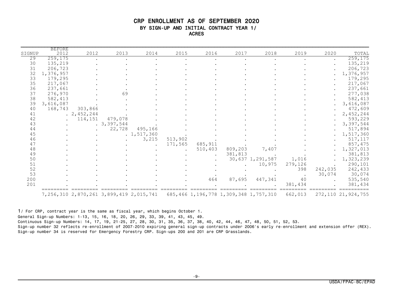#### CRP ENROLLMENT AS OF SEPTEMBER 2020 BY SIGN-UP AND INITIAL CONTRACT YEAR 1/ ACRES

| SIGNUP | <b>BEFORE</b><br>2012 | 2012        | 2013       | 2014                                            | 2015    | 2016    | 2017    | 2018                                         | 2019    | 2020                 | TOTAL                 |
|--------|-----------------------|-------------|------------|-------------------------------------------------|---------|---------|---------|----------------------------------------------|---------|----------------------|-----------------------|
| 29     | 259, 175              |             |            |                                                 |         |         |         |                                              |         | $\ddot{\phantom{0}}$ | 259, 175              |
| 30     | 135,219               |             |            |                                                 |         |         |         |                                              |         |                      | 135,219               |
| 31     | 206,723               |             |            |                                                 |         |         |         |                                              |         |                      | 206,723               |
| 32     | 1,376,957             |             |            |                                                 |         |         |         |                                              |         |                      | 1,376,957             |
| 33     | 179,295               |             |            |                                                 |         |         |         |                                              |         |                      | 179,295               |
| 35     | 217,067               |             |            |                                                 |         |         |         |                                              |         |                      | 217,067               |
| 36     | 237,661               |             |            |                                                 |         |         |         |                                              |         |                      | 237,661               |
| 37     | 276,970               |             | 69         |                                                 |         |         |         |                                              |         |                      |                       |
|        |                       |             |            |                                                 |         |         |         |                                              |         |                      | 277,038               |
| 38     | 582,413               |             |            |                                                 |         |         |         |                                              |         |                      | 582,413               |
| 39     | 3,616,087             |             |            |                                                 |         |         |         |                                              |         |                      | 3,616,087             |
| 40     | 168,743               | 303,866     |            |                                                 |         |         |         |                                              |         |                      | 472,609               |
| 41     |                       | . 2,452,244 |            |                                                 |         |         |         |                                              |         |                      | 2,452,244             |
| 42     |                       | 114,151     | 479,078    |                                                 |         |         |         |                                              |         |                      | 593,229               |
| 43     |                       |             | .3,397,544 |                                                 |         |         |         |                                              |         |                      | 3,397,544             |
| 44     |                       |             | 22,728     | 495,166                                         |         |         |         |                                              |         |                      | 517,894               |
| 45     |                       |             |            | .1, 517, 360                                    |         |         |         |                                              |         |                      | 1,517,360             |
| 46     |                       |             |            | 3,215                                           | 513,902 |         |         |                                              |         |                      | 517,117               |
| 47     |                       |             |            | $\ddot{\phantom{a}}$                            | 171,565 | 685,911 |         |                                              |         |                      | 857,475               |
| 48     |                       |             |            |                                                 |         | 510,403 | 809,203 | 7,407                                        |         |                      | 1,327,013             |
| 49     |                       |             |            |                                                 |         |         | 381,813 |                                              |         |                      | 381,813               |
| 50     |                       |             |            |                                                 |         |         |         | 30,637 1,291,587                             | 1,016   |                      | 1,323,239             |
| 51     |                       |             |            |                                                 |         |         |         | 10,975                                       | 279,126 |                      | 290,101               |
| 52     |                       |             |            |                                                 |         |         |         |                                              | 398     | 242,035              | 242,433               |
| 53     |                       |             |            |                                                 |         |         |         |                                              |         | 30,074               | 30,074                |
| 200    |                       |             |            |                                                 |         | 464     | 87,695  | 447,341                                      | 40      |                      | 535,540               |
| 201    |                       |             |            |                                                 |         |         |         |                                              | 381.434 |                      | 381,434               |
|        |                       |             |            | 7, 256, 310 2, 870, 261 3, 899, 419 2, 015, 741 |         |         |         | 685, 466 1, 196, 778 1, 309, 348 1, 757, 310 | 662,013 |                      | 272, 110 21, 924, 755 |

1/ For CRP, contract year is the same as fiscal year, which begins October 1.

General Sign-up Numbers: 1-13, 15, 16, 18, 20, 26, 29, 33, 39, 41, 43, 45, 49.

Continuous Sign-up Numbers: 14, 17, 19, 21-25, 27, 28, 30, 31, 35, 36, 37, 38, 40, 42, 44, 46, 47, 48, 50, 51, 52, 53.

Sign-up number 32 reflects re-enrollment of 2007-2010 expiring general sign-up contracts under 2006's early re-enrollment and extension offer (REX). Sign-up number 34 is reserved for Emergency Forestry CRP. Sign-ups 200 and 201 are CRP Grasslands.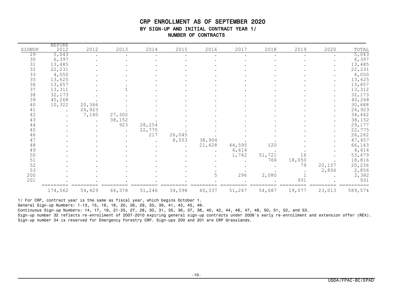#### CRP ENROLLMENT AS OF SEPTEMBER 2020 BY SIGN-UP AND INITIAL CONTRACT YEAR 1/ NUMBER OF CONTRACTS

| SIGNUP | <b>BEFORE</b><br>2012 | 2012   | 2013   | 2014   | 2015   | 2016   | 2017   | 2018   | 2019   | 2020   | TOTAL   |
|--------|-----------------------|--------|--------|--------|--------|--------|--------|--------|--------|--------|---------|
| 29     | 5,043                 |        |        |        |        |        |        |        |        |        | 5,043   |
| 30     | 6,397                 |        |        |        |        |        |        |        |        |        | 6,397   |
| 31     | 13,485                |        |        |        |        |        |        |        |        |        | 13,485  |
| 32     | 22,231                |        |        |        |        |        |        |        |        |        | 22,231  |
| 33     | 4,050                 |        |        |        |        |        |        |        |        |        | 4,050   |
| 35     | 13,625                |        |        |        |        |        |        |        |        |        | 13,625  |
| 36     | 13,657                |        |        |        |        |        |        |        |        |        | 13,657  |
| 37     | 13,311                |        |        |        |        |        |        |        |        |        | 13,312  |
| 38     | 32,173                |        |        |        |        |        |        |        |        |        | 32,173  |
| 39     | 40,268                |        |        |        |        |        |        |        |        |        | 40,268  |
| 40     | 10,322                | 20,366 |        |        |        |        |        |        |        |        | 30,688  |
| 41     |                       | 26,923 |        |        |        |        |        |        |        |        | 26,923  |
| 42     |                       | 7,140  | 27,302 |        |        |        |        |        |        |        | 34,442  |
| 43     |                       |        | 38,152 |        |        |        |        |        |        |        | 38,152  |
| 44     |                       |        | 923    | 28,254 |        |        |        |        |        |        | 29,177  |
| 45     |                       |        |        | 22,775 |        |        |        |        |        |        | 22,775  |
| 46     |                       |        |        | 217    | 26,045 |        |        |        |        |        | 26,262  |
| 47     |                       |        |        |        | 8,553  | 38,904 |        |        |        |        | 47,457  |
| 48     |                       |        |        |        |        | 21,428 | 44,595 | 120    |        |        | 66,143  |
| 49     |                       |        |        |        |        |        | 4,614  |        |        |        | 4,614   |
| 50     |                       |        |        |        |        |        | 1,742  | 51,721 | 16     |        | 53,479  |
| 51     |                       |        |        |        |        |        |        | 766    | 18,050 |        | 18,816  |
| 52     |                       |        |        |        |        |        |        |        | 79     | 20,157 | 20,236  |
| 53     |                       |        |        |        |        |        |        |        |        | 2,856  | 2,856   |
| 200    |                       |        |        |        |        | 5      | 296    | 2,080  |        |        | 2,382   |
| 201    |                       |        |        |        |        |        |        |        | 931    |        | 931     |
|        | 174,562               | 54,429 | 66,378 | 51,246 | 34,598 | 60,337 | 51,247 | 54,687 | 19,077 | 23,013 | 589,574 |

1/ For CRP, contract year is the same as fiscal year, which begins October 1.

General Sign-up Numbers: 1-13, 15, 16, 18, 20, 26, 29, 33, 39, 41, 43, 45, 49.

Continuous Sign-up Numbers: 14, 17, 19, 21-25, 27, 28, 30, 31, 35, 36, 37, 38, 40, 42, 44, 46, 47, 48, 50, 51, 52, and 53.

Sign-up number 32 reflects re-enrollment of 2007-2010 expiring general sign-up contracts under 2006's early re-enrollment and extension offer (REX). Sign-up number 34 is reserved for Emergency Forestry CRP. Sign-ups 200 and 201 are CRP Grasslands.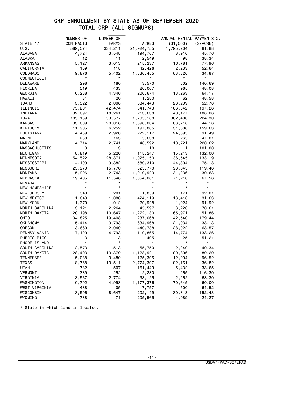#### CRP ENROLLMENT BY STATE AS OF SEPTEMBER 2020 ---------TOTAL CRP (ALL SIGNUPS)--------

|                      | NUMBER OF     | NUMBER OF    |                 | ANNUAL RENTAL PAYMENTS 2/ |            |
|----------------------|---------------|--------------|-----------------|---------------------------|------------|
| STATE 1/             | CONTRACTS     | <b>FARMS</b> | <b>ACRES</b>    | ( \$1,000)                | (S/ACRE)   |
| U.S.                 | 589,574       | 334,211      | 21,924,755      | 1,795,204                 | 81.88      |
| ALABAMA              | 4,724         | 3,548        | 194,707         | 8,910                     | 45.76      |
| ALASKA               | 12            | 11           | 2,549           | 98                        | 38.34      |
| ARKANSAS             | 5,127         | 3,013        | 215,237         | 16,781                    | 77.96      |
| CALIFORNIA           | 159           | 118          | 42,426          | 2,233                     | 52.64      |
| COLORADO             | 9,876         | 5,402        | 1,830,455       | 63,820                    | 34.87      |
| CONNECTICUT          | *             | *            |                 | $^\star$                  | $^{\star}$ |
| DELAWARE             | 298           | 180          | 3,570           | 502                       | 140.69     |
| FLORIDA              | 519           | 433          | 20,067          | 965                       | 48.08      |
| GEORGIA              | 6,288         | 4,346        | 206,674         | 13,263                    | 64.17      |
| <b>HAWAII</b>        | 31            | 20           | 1,280           | 62                        | 48.58      |
| <b>IDAHO</b>         | 3,522         | 2,008        | 534,443         | 28,209                    | 52.78      |
| ILLINOIS             | 75,201        | 42,474       | 841,743         | 166,042                   | 197.26     |
| INDIANA              | 32,097        | 18,261       | 213,638         | 40,177                    | 188.06     |
| IOWA                 | 105,159       | 53,577       | 1,705,188       | 382,480                   | 224.30     |
| KANSAS               | 33,609        | 20,018       | 1,896,004       | 83,718                    | 44.16      |
| <b>KENTUCKY</b>      | 11,905        | 6,252        | 197,865         | 31,586                    | 159.63     |
| LOUISIANA            | 4,439         | 2,920        | 272,117         | 24,895                    | 91.49      |
| MAINE                | 238           | 163          | 5,638           | 265                       | 47.01      |
| MARYLAND             | 4,714         | 2,741        | 48,592          | 10,721                    | 220.62     |
| <b>MASSACHUSETTS</b> | 3             | 3            | 10              | 1                         | 101.00     |
| MICHIGAN             | 8,819         | 5,226        | 115,247         | 15,213                    | 132.00     |
| MINNESOTA            | 54,522        | 28,871       | 1,025,150       | 136,545                   | 133.19     |
| MISSISSIPPI          | 14,199        | 9,382        | 589,310         | 44,304                    | 75.18      |
| MISSOURI             | 25,970        | 15,776       | 825,770         | 98,645                    | 119.46     |
| MONTANA              | 5,996         | 2,743        | 1,019,923       | 31,236                    | 30.63      |
| NEBRASKA             | 19,405        | 11,548       | 1,054,081       | 71,216                    | 67.56      |
| <b>NEVADA</b>        |               |              |                 |                           | $^\star$   |
| NEW HAMPSHIRE        | $^\star$      | $^\star$     | $\star$         | *                         | $^\star$   |
| NEW JERSEY           | 340           | 201          | 1,859           | 171                       | 92.01      |
| NEW MEXICO           | 1,643         | 1,080        | 424,119         | 13,416                    | 31.63      |
| NEW YORK             | 1,370         | 1,012        | 20,928          | 1,924                     | 91.92      |
| NORTH CAROLINA       | 3,121         | 2,264        | 45,597          | 3,220                     | 70.61      |
| NORTH DAKOTA         | 20,198        | 10,647       | 1,272,130       | 65,971                    | 51.86      |
| OHIO                 | 34,825        | 19,408       | 237,068         | 42,540                    | 179.44     |
| OKLAHOMA             | 5,414         | 3,793        | 634,968         | 21,034                    | 33.13      |
| OREGON               | 3,660         | 2,040        | 440,788         | 28,022                    | 63.57      |
| PENNSYLVANIA         | 7,120         | 4,793        | 110,865         | 14,774                    | 133.26     |
| PUERTO RICO          | З<br>$^\star$ | З<br>*       | 495<br>$^\star$ | 25<br>$^\star$            | 51.21      |
| RHODE ISLAND         |               |              |                 |                           | $^\star$   |
| SOUTH CAROLINA       | 2,573         | 1,513        | 55,750          | 2,249                     | 40.34      |
| SOUTH DAKOTA         | 28,403        | 13,379       | 1,128,921       | 100,806                   | 89.29      |
| <b>TENNESSEE</b>     | 5,088         | 3,480        | 125,305         | 12,094                    | 96.52      |
| <b>TEXAS</b>         | 18,768        | 13,511       | 2,774,397       | 102,161                   | 36.82      |
| <b>UTAH</b>          | 782           | 507          | 161,449         | 5,432                     | 33.65      |
| <b>VERMONT</b>       | 339           | 252          | 2,280           | 265                       | 116.30     |
| VIRGINIA             | 3,567         | 2,774        | 33,125          | 2,262                     | 68.30      |
| WASHINGTON           | 10,792        | 4,993        | 1,177,376       | 70,645                    | 60.00      |
| WEST VIRGINIA        | 488           | 405          | 7,757           | 500                       | 64.52      |
| WISCONSIN            | 13,506        | 8,647        | 202,149         | 30,813                    | 152.43     |
| WYOMING              | 738           | 471          | 205,565         | 4,989                     | 24.27      |

1/ State in which land is located.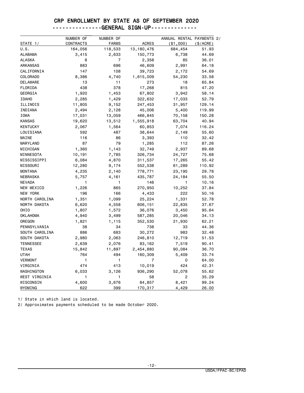#### ---------------GENERAL SIGN-UP--------------

|                  | NUMBER OF        | NUMBER OF    |              | ANNUAL RENTAL PAYMENTS 2/ |             |
|------------------|------------------|--------------|--------------|---------------------------|-------------|
| STATE 1/         | <b>CONTRACTS</b> | <b>FARMS</b> | <b>ACRES</b> | ( \$1,000)                | $(\$/ACRE)$ |
| U.S.             | 164,056          | 118,533      | 13, 180, 476 | 684,454                   | 51.93       |
| ALABAMA          | 3,415            | 2,633        | 150,773      | 6,738                     | 44.69       |
| <b>ALASKA</b>    | 8                | 7            | 2,358        | 85                        | 36.01       |
| <b>ARKANSAS</b>  | 883              | 696          | 46,609       | 2,991                     | 64.18       |
| CALIFORNIA       | 147              | 108          | 39,723       | 2,172                     | 54.69       |
| <b>COLORADO</b>  | 8,386            | 4,740        | 1,615,009    | 54,230                    | 33.58       |
| DELAWARE         | 13               | 11           | 273          | 18                        | 65.84       |
| FLORIDA          | 438              | 378          | 17,268       | 815                       | 47.20       |
| GEORGIA          | 1,920            | 1,453        | 67,802       | 3,942                     | 58.14       |
| <b>IDAHO</b>     | 2,285            | 1,429        | 322,632      | 17,033                    | 52.79       |
| ILLINOIS         | 11,805           | 9,152        | 247,453      | 31,957                    | 129.14      |
| INDIANA          | 2,494            | 2,128        | 45,006       | 5,400                     | 119.99      |
| IOWA             | 17,031           | 13,059       | 466,845      | 70,158                    | 150.28      |
| <b>KANSAS</b>    | 19,620           | 13,512       | 1,555,918    | 63,704                    | 40.94       |
| <b>KENTUCKY</b>  | 2,067            | 1,564        | 60,853       | 7,074                     | 116.24      |
| LOUISIANA        | 592              | 487          | 38,644       | 2,149                     | 55.60       |
| MAINE            | 116              | 86           | 3,393        | 110                       | 32.42       |
| MARYLAND         | 87               | 79           | 1,285        | 112                       | 87.26       |
| MICHIGAN         | 1,360            | 1,143        | 32,749       | 2,937                     | 89.68       |
| MINNESOTA        | 10,191           | 7,785        | 326,734      | 24,727                    | 75.68       |
| MISSISSIPPI      | 6,084            | 4,870        | 311,537      | 17,265                    | 55.42       |
| MISSOURI         | 12,280           | 9,174        | 552,538      | 61,289                    | 110.92      |
| <b>MONTANA</b>   | 4,235            | 2,140        | 778,771      | 23,195                    | 29.78       |
| <b>NEBRASKA</b>  | 5,757            | 4,161        | 435,787      | 24,184                    | 55.50       |
| <b>NEVADA</b>    | 1                | 1            | 146          | 1                         | 10.16       |
| NEW MEXICO       | 1,226            | 865          | 270,950      | 10,252                    | 37.84       |
| NEW YORK         | 196              | 166          | 4,433        | 222                       | 50.16       |
| NORTH CAROLINA   | 1,351            | 1,099        | 25,224       | 1,331                     | 52.78       |
| NORTH DAKOTA     | 6,620            | 4,558        | 606,151      | 22,835                    | 37.67       |
| OHIO             | 1,807            | 1,572        | 36,076       | 3,450                     | 95.64       |
| <b>OKLAHOMA</b>  | 4,940            | 3,499        | 587,285      | 20,046                    | 34.13       |
| OREGON           | 1,821            | 1,115        | 352,530      | 21,930                    | 62.21       |
| PENNSYLVANIA     | 38               | 34           | 738          | 33                        | 44.36       |
| SOUTH CAROLINA   | 886              | 683          | 30,272       | 983                       | 32.48       |
| SOUTH DAKOTA     | 2,980            | 2,063        | 246,810      | 12,719                    | 51.53       |
| <b>TENNESSEE</b> | 2,639            | 2,076        | 83,162       | 7,519                     | 90.41       |
| <b>TEXAS</b>     | 15,842           | 11,897       | 2,454,880    | 90,084                    | 36.70       |
| <b>UTAH</b>      | 764              | 494          | 160,309      | 5,409                     | 33.74       |
| <b>VERMONT</b>   | 1                | 1            | 7            | 0                         | 64.00       |
| VIRGINIA         | 474              | 413          | 10,019       | 424                       | 42.31       |
| WASHINGTON       | 6,033            | 3,126        | 936,290      | 52,078                    | 55.62       |
| WEST VIRGINIA    | 1                | 1            | 58           | 2                         | 35.29       |
| WISCONSIN        | 4,600            | 3,676        | 84,857       | 8,421                     | 99.24       |
|                  | 622              | 399          |              |                           |             |
| WYOMING          |                  |              | 170,317      | 4,429                     | 26.00       |

1/ State in which land is located.

2/ Approximates payments scheduled to be made October 2020.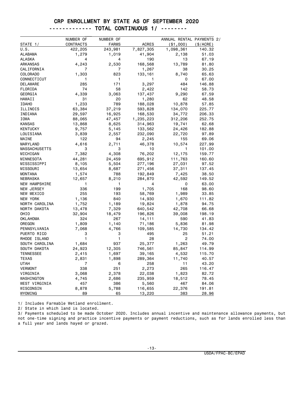------------- TOTAL CONTINUOUS 1/ --------

|                      | NUMBER OF        | NUMBER OF               | <b>ACRES</b>       | ANNUAL RENTAL PAYMENTS 2/<br>( \$1,000) | $(\$/ACRE)$     |
|----------------------|------------------|-------------------------|--------------------|-----------------------------------------|-----------------|
| STATE 1/<br>U.S.     | CONTRACTS        | <b>FARMS</b><br>243,981 | 7,827,305          | 1,098,361                               |                 |
| <b>ALABAMA</b>       | 422,205<br>1,279 |                         | 41,904             | 2,138                                   | 140.32<br>51.03 |
| ALASKA               | 4                | 1,019<br>4              | 190                | 13                                      | 67.19           |
| ARKANSAS             | 4,243            | 2,530                   | 168,568            | 13,789                                  | 81.80           |
| CALIFORNIA           | 7                | 7                       | 1,267              | 38                                      | 30.25           |
| <b>COLORADO</b>      | 1,303            | 823                     | 133,161            | 8,740                                   | 65.63           |
| CONNECTICUT          | 1                | 1                       | 1                  | 0                                       | 67.00           |
| DELAWARE             | 285              | 171                     | 3,297              | 484                                     | 146.88          |
| FLORIDA              | 74               | 58                      | 2,422              | 142                                     | 58.73           |
| GEORGIA              | 4,339            | 3,063                   | 137,437            | 9,290                                   | 67.59           |
| <b>HAWAII</b>        | 31               | 20                      | 1,280              | 62                                      | 48.58           |
| <b>IDAHO</b>         | 1,233            | 789                     | 188,028            | 10,878                                  | 57.85           |
| ILLINOIS             | 63,384           | 37,219                  | 593,828            | 134,070                                 | 225.77          |
| INDIANA              | 29,597           | 16,925                  | 168,530            | 34,772                                  | 206.33          |
| IOWA                 | 88,065           | 47,457                  | 1,235,223          | 312,206                                 | 252.75          |
| <b>KANSAS</b>        | 13,868           | 8,625                   | 314,963            | 19,741                                  | 62.68           |
| <b>KENTUCKY</b>      |                  |                         |                    | 24,426                                  | 182.88          |
| LOUISIANA            | 9,757<br>3,839   | 5,145<br>2,557          | 133,562<br>232,090 | 22,720                                  | 97.89           |
| MAINE                | 122              | 94                      |                    | 155                                     | 69.06           |
| MARYLAND             | 4,616            | 2,711                   | 2,245<br>46,378    | 10,574                                  | 227.99          |
| <b>MASSACHUSETTS</b> | 3                | 3                       | 10                 | $\mathbf{1}$                            | 101.00          |
| MICHIGAN             | 7,382            | 4,308                   | 76,202             | 12,175                                  | 159.77          |
| MINNESOTA            | 44,281           | 24,459                  | 695,912            | 111,763                                 | 160.60          |
| MISSISSIPPI          | 8,105            | 5,504                   | 277,196            | 27,031                                  | 97.52           |
| MISSOURI             | 13,654           | 8,687                   | 271,456            | 37,311                                  | 137.45          |
| MONTANA              | 1,574            | 788                     | 192,849            | 7,425                                   | 38.50           |
| NEBRASKA             | 12,657           | 8,210                   | 284,870            | 42,592                                  | 149.52          |
| <b>NEW HAMPSHIRE</b> | 1                | 1                       | 4                  | 0                                       | 63.00           |
| NEW JERSEY           | 336              | 199                     | 1,705              | 168                                     | 98.60           |
| NEW MEXICO           | 255              | 193                     | 58,769             | 1,989                                   | 33.85           |
| NEW YORK             | 1,136            | 840                     | 14,930             | 1,670                                   | 111.82          |
| NORTH CAROLINA       | 1,752            | 1,189                   | 19,824             | 1,878                                   | 94.75           |
| NORTH DAKOTA         | 13,478           | 7,329                   | 640,542            | 42,708                                  | 66.68           |
| OHIO                 | 32,904           | 18,479                  | 196,826            | 39,008                                  | 198.19          |
| <b>OKLAHOMA</b>      | 324              | 267                     | 14,111             | 590                                     | 41.83           |
| OREGON               | 1,809            | 1,140                   | 71,186             | 5,836                                   | 81.98           |
| PENNSYLVANIA         | 7,068            | 4,766                   | 109,585            | 14,730                                  | 134.42          |
| PUERTO RICO          | 3                | 3                       | 495                | 25                                      | 51.21           |
| RHODE ISLAND         | 1                | 1                       | 28                 | $\mathbf{2}$                            | 74.00           |
| SOUTH CAROLINA       | 1,684            | 937                     | 25,377             | 1,263                                   | 49.79           |
| SOUTH DAKOTA         | 24,923           | 12,305                  | 746,561            | 85,847                                  | 114.99          |
| TENNESSEE            | 2,415            | 1,697                   | 39,165             | 4,532                                   | 115.70          |
| <b>TEXAS</b>         | 2,831            | 1,898                   | 289,364            | 11,740                                  | 40.57           |
| <b>UTAH</b>          | 7                | 6                       | 258                | 11                                      | 43.20           |
| <b>VERMONT</b>       | 338              | 251                     | 2,273              | 265                                     | 116.47          |
| VIRGINIA             | 3,068            | 2,378                   | 22,038             | 1,823                                   | 82.72           |
| WASHINGTON           | 4,745            | 2,686                   | 235,959            | 18,512                                  | 78.45           |
| WEST VIRGINIA        | 457              | 386                     | 5,560              | 467                                     | 84.06           |
| WISCONSIN            | 8,878            | 5,788                   | 116,655            | 22,376                                  | 191.81          |
| WYOMING              | 89               | 65                      | 13,220             | 383                                     | 28.96           |

1/ Includes Farmable Wetland enrollment.

2/ State in which land is located.

3/ Payments scheduled to be made October 2020. Includes annual incentive and maintenance allowance payments, but not one-time signing and practice incentive payments or payment reductions, such as for lands enrolled less than a full year and lands hayed or grazed.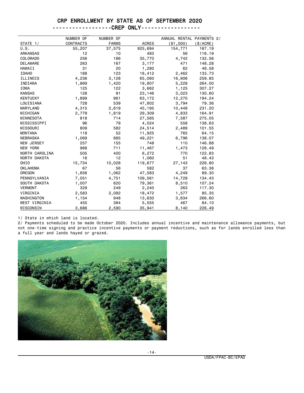----------CREP ONLY------------------

|                 | NUMBER OF | NUMBER OF    |              | ANNUAL RENTAL PAYMENTS 2/ |           |
|-----------------|-----------|--------------|--------------|---------------------------|-----------|
| STATE 1/        | CONTRACTS | <b>FARMS</b> | <b>ACRES</b> | (\$1,000)                 | (\$/ACRE) |
| U.S.            | 55,207    | 37,575       | 925,694      | 154,771                   | 167.19    |
| <b>ARKANSAS</b> | 12        | 10           | 483          | 56                        | 116.19    |
| COLORADO        | 256       | 186          | 35,770       | 4,742                     | 132.56    |
| <b>DELAWARE</b> | 263       | 167          | 3,177        | 471                       | 148.28    |
| HAWAII          | 31        | 20           | 1,280        | 62                        | 48.58     |
| <b>IDAHO</b>    | 188       | 123          | 18,412       | 2,462                     | 133.73    |
| ILLINOIS        | 4,236     | 3,128        | 65,060       | 16,906                    | 259.85    |
| INDIANA         | 1,869     | 1,420        | 19,807       | 5,229                     | 264.00    |
| <b>IOWA</b>     | 125       | 122          | 3,662        | 1,125                     | 307.27    |
| <b>KANSAS</b>   | 128       | 91           | 23,146       | 3,023                     | 130.60    |
| <b>KENTUCKY</b> | 1,899     | 961          | 63,172       | 12,270                    | 194.24    |
| LOUISIANA       | 728       | 539          | 47,802       | 3,794                     | 79.36     |
| MARYLAND        | 4,315     | 2,619        | 45,195       | 10,449                    | 231.20    |
| MICHIGAN        | 2,779     | 1,819        | 29,309       | 4,833                     | 164.91    |
| MINNESOTA       | 818       | 714          | 27,585       | 7,587                     | 275.05    |
| MISSISSIPPI     | 96        | 79           | 4,024        | 558                       | 138.63    |
| MISSOURI        | 809       | 582          | 24,514       | 2,489                     | 101.55    |
| <b>MONTANA</b>  | 118       | 52           | 11,925       | 765                       | 64.15     |
| <b>NEBRASKA</b> | 1,069     | 885          | 49,221       | 6,796                     | 138.07    |
| NEW JERSEY      | 257       | 155          | 748          | 110                       | 146.88    |
| <b>NEW YORK</b> | 968       | 711          | 11,467       | 1,473                     | 128.49    |
| NORTH CAROLINA  | 505       | 400          | 6,272        | 770                       | 122.83    |
| NORTH DAKOTA    | 16        | 12           | 1,060        | 51                        | 48.43     |
| OHIO            | 15,734    | 10,028       | 119,677      | 27,143                    | 226.80    |
| <b>OKLAHOMA</b> | 67        | 56           | 582          | 37                        | 63.38     |
| OREGON          | 1,656     | 1,062        | 47,583       | 4,249                     | 89.30     |
| PENNSYLVANIA    | 7,051     | 4,751        | 109,561      | 14,729                    | 134.43    |
| SOUTH DAKOTA    | 1,007     | 620          | 79,361       | 8,510                     | 107.24    |
| <b>VERMONT</b>  | 329       | 249          | 2,240        | 263                       | 117.30    |
| VIRGINIA        | 2,583     | 2,092        | 18,472       | 1,577                     | 85.35     |
| WASHINGTON      | 1,154     | 948          | 13,630       | 3,634                     | 266.60    |
| WEST VIRGINIA   | 455       | 384          | 5,555        | 467                       | 84.10     |
| WISCONSIN       | 3,686     | 2,590        | 35,941       | 8,140                     | 226.49    |

1/ State in which land is located.

2/ Payments scheduled to be made October 2020. Includes annual incentive and maintenance allowance payments, but not one-time signing and practice incentive payments or payment reductions, such as for lands enrolled less than a full year and lands hayed or grazed.



-14-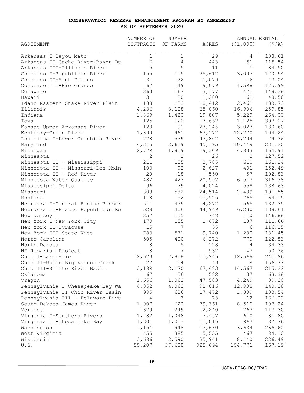#### **CONSERVATION RESERVE ENHANCEMENT PROGRAM BY AGREEMENT AS OF SEPTEMBER 2020**

|                                  | NUMBER OF   | NUMBER       |              |              | ANNUAL RENTAL |
|----------------------------------|-------------|--------------|--------------|--------------|---------------|
| <b>AGREEMENT</b>                 | CONTRACTS   | OF FARMS     | <b>ACRES</b> | (51,000)     | (S/A)         |
|                                  |             |              |              |              |               |
| Arkansas I-Bayou Meto            | $\mathbf 1$ | 1            | 29           | 4            | 138.61        |
| Arkansas II-Cache River/Bayou De | 6           | 4            | 443          | 51           | 115.54        |
| Arkansas III-Illinois River      | 5           | 5            | 11           | $\mathbf{1}$ | 84.50         |
| Colorado I-Republican River      | 155         | 115          | 25,612       | 3,097        | 120.94        |
| Colorado II-High Plains          | 34          | 22           | 1,079        | 46           | 43.04         |
| Colorado III-Rio Grande          | 67          | 49           | 9,079        | 1,598        | 175.99        |
| Delaware                         | 263         | 167          | 3,177        | 471          | 148.28        |
| Hawaii                           | 31          | 20           | 1,280        | 62           | 48.58         |
| Idaho-Eastern Snake River Plain  | 188         | 123          | 18,412       | 2,462        | 133.73        |
| Illinois                         | 4,236       | 3,128        | 65,060       | 16,906       | 259.85        |
| Indiana                          | 1,869       | 1,420        | 19,807       | 5,229        | 264.00        |
| Iowa                             | 125         | 122          | 3,662        | 1,125        | 307.27        |
| Kansas-Upper Arkansas River      | 128         | 91           | 23,146       | 3,023        | 130.60        |
| Kentucky-Green River             | 1,899       | 961          | 63,172       | 12,270       | 194.24        |
| Louisiana I-Lower Ouachita River | 728         | 539          | 47,802       | 3,794        | 79.36         |
| Maryland                         | 4,315       | 2,619        | 45,195       | 10,449       | 231.20        |
| Michigan                         | 2,779       | 1,819        | 29,309       | 4,833        | 164.91        |
| Minnesota                        | 2           | $\mathbf{2}$ | 26           | 3            | 127.52        |
| Minnesota II - Mississippi       | 211         | 185          | 3,785        | 610          | 161.24        |
| Minnesota II - Missouri/Des Moin | 103         | 92           | 2,627        | 401          | 152.49        |
| Minnesota II - Red River         | 20          | 18           | 550          | 57           | 102.83        |
| Minnesota Water Quality          | 482         | 423          | 20,597       | 6,517        | 316.38        |
| Mississippi Delta                | 96          | 79           | 4,024        | 558          | 138.63        |
| Missouri                         | 809         | 582          | 24,514       | 2,489        | 101.55        |
| Montana                          | 118         | 52           | 11,925       | 765          | 64.15         |
| Nebraska I-Central Basins Resour | 541         | 479          | 4,272        | 565          | 132.35        |
| Nebraska II-Platte Republican Re | 528         | 406          | 44,949       | 6,230        | 138.61        |
| New Jersey                       | 257         | 155          | 748          | 110          | 146.88        |
| New York I-New York City         | 170         | 135          | 1,672        | 187          | 111.66        |
| New York II-Syracuse             | 15          | 7            | 55           | 6            | 116.15        |
| New York III-State Wide          | 783         | 571          | 9,740        | 1,280        | 131.45        |
| North Carolina                   | 505         | 400          | 6,272        | 770          | 122.83        |
| North Dakota                     | 8           | 5            | 128          | 4            | 34.33         |
| ND Riparian Project              | 8           | 7            | 932          | 47           | 50.36         |
| Ohio I-Lake Erie                 | 12,523      | 7,858        | 51,945       | 12,569       | 241.96        |
| Ohio II-Upper Big Walnut Creek   | 22          | 14           | 49           | 8            | 156.73        |
|                                  |             | 2,170        | 67,683       | 14,567       |               |
| Ohio III-Scioto River Basin      | 3,189<br>67 | 56           | 582          | 37           | 215.22        |
| Oklahoma                         |             |              |              |              | 63.38         |
| Oregon                           | 1,656       | 1,062        | 47,583       | 4,249        | 89.30         |
| Pennsylvania I-Chesapeake Bay Wa | 6,052       | 4,063        | 92,016       | 12,908       | 140.28        |
| Pennsylvania II-Ohio River Basin | 995         | 686          | 17,472       | 1,809        | 103.54        |
| Pennsylvania III - Delaware Rive | 4           | 3            | 73           | 12           | 166.02        |
| South Dakota-James River         | 1,007       | 620          | 79,361       | 8,510        | 107.24        |
| Vermont                          | 329         | 249          | 2,240        | 263          | 117.30        |
| Virginia I-Southern Rivers       | 1,282       | 1,048        | 7,457        | 610          | 81.80         |
| Virginia II-Chesapeake Bay       | 1,301       | 1,053        | 11,016       | 967          | 87.76         |
| Washington                       | 1,154       | 948          | 13,630       | 3,634        | 266.60        |
| West Virginia                    | 455         | 385          | 5,555        | 467          | 84.10         |
| Wisconsin                        | 3,686       | 2,590        | 35,941       | 8,140        | 226.49        |
| U.S.                             | 55,207      | 37,608       | 925,694      | 154,771      | 167.19        |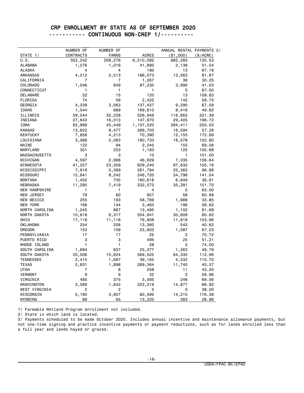### CRP ENROLLMENT BY STATE AS OF SEPTEMBER 2020 ----------- CONTINUOUS NON-CREP 1/----------

|                       | NUMBER OF        | NUMBER OF        |                 |                                         |                |
|-----------------------|------------------|------------------|-----------------|-----------------------------------------|----------------|
| STATE 1/              | CONTRACTS        | <b>FARMS</b>     | <b>ACRES</b>    | ANNUAL RENTAL PAYMENTS 2/<br>( \$1,000) | (\$/ACRE)      |
| U.S.                  |                  |                  | 6,510,092       |                                         | 135.53         |
| <b>ALABAMA</b>        | 352,242<br>1,276 | 208,276<br>1,016 | 41,890          | 882,283<br>2,138                        | 51.04          |
| <b>ALASKA</b>         | 4                | 4                | 190             | 13                                      | 67.19          |
| <b>ARKANSAS</b>       | 4,212            | 2,513            | 166,073         | 13,563                                  | 81.67          |
| CALIFORNIA            | 7                | 7                |                 | 38                                      | 30.25          |
| <b>COLORADO</b>       | 1,046            | 649              | 1,267<br>97,230 | 3,990                                   | 41.03          |
| CONNECTICUT           | 1                | 1                | 1               | 0                                       | 67.00          |
| <b>DELAWARE</b>       | 22               | 15               | 120             | 13                                      | 109.83         |
| FLORIDA               | 74               | 58               | 2,422           | 142                                     | 58.73          |
| GEORGIA               | 4,339            |                  |                 |                                         |                |
|                       |                  | 3,063            | 137,437         | 9,290                                   | 67.59<br>49.62 |
| <b>IDAHO</b>          | 1,044            | 669              | 169,610         | 8,416                                   |                |
| ILLINOIS<br>INDIANA   | 59,044           | 35,238           | 526,949         | 116,663                                 | 221.39         |
|                       | 27,643           | 16,013           | 147,970         | 29,405                                  | 198.72         |
| IOWA<br><b>KANSAS</b> | 82,989           | 45,449           | 1,137,520       | 284,411                                 | 250.03         |
| <b>KENTUCKY</b>       | 13,622           | 8,477            | 289,703         | 16,594                                  | 57.28          |
|                       | 7,858            | 4,213            | 70,390          | 12,155                                  | 172.69         |
| LOUISIANA             | 3,066            | 2,083            | 180,733         | 18,578                                  | 102.80         |
| MAINE                 | 122<br>301       | 94<br>253        | 2,245           | 155<br>125                              | 69.06          |
| MARYLAND              |                  |                  | 1,183           |                                         | 105.68         |
| <b>MASSACHUSETTS</b>  | 3                | 3                | 10              | 1                                       | 101.00         |
| MICHIGAN              | 4,597            | 2,966            | 46,829          | 7,335                                   | 156.64         |
| MINNESOTA             | 41,257           | 23,359           | 629,240         | 97,632                                  | 155.16         |
| MISSISSIPPI           | 7,918            | 5,389            | 261,794         | 25,363                                  | 96.88          |
| MISSOURI              | 12,841           | 8,242            | 246,720         | 34,796                                  | 141.04         |
| <b>MONTANA</b>        | 1,452            | 735              | 180,618         | 6,649                                   | 36.81          |
| <b>NEBRASKA</b>       | 11,295           | 7,419            | 232,573         | 35,281                                  | 151.70         |
| <b>NEW HAMPSHIRE</b>  | 1                | 1                | 4               | 0                                       | 63.00          |
| NEW JERSEY            | 79               | 60               | 957             | 58                                      | 60.88          |
| NEW MEXICO            | 255              | 193              | 58,769          | 1,989                                   | 33.85          |
| NEW YORK              | 168              | 144              | 3,463           | 196                                     | 56.62          |
| NORTH CAROLINA        | 1,245            | 867              | 13,495          | 1,102                                   | 81.68          |
| NORTH DAKOTA          | 10,618           | 6,317            | 504,941         | 30,609                                  | 60.62          |
| OHIO                  | 17,118           | 11,116           | 76,808          | 11,818                                  | 153.86         |
| <b>OKLAHOMA</b>       | 254              | 208              | 13,360          | 543                                     | 40.62          |
| OREGON                | 153              | 109              | 23,603          | 1,587                                   | 67.23          |
| PENNSYLVANIA          | 17               | 17               | 25              | 2                                       | 70.72          |
| PUERTO RICO           | 3                | 3                | 495             | 25                                      | 51.21          |
| RHODE ISLAND          | 1                | 1                | 28              | 2                                       | 74.00          |
| SOUTH CAROLINA        | 1,684            | 937              | 25,377          | 1,263                                   | 49.79          |
| SOUTH DAKOTA          | 20,006           | 10,624           | 569,525         | 64,335                                  | 112.96         |
| <b>TENNESSEE</b>      | 2,415            | 1,697            | 39,165          | 4,532                                   | 115.70         |
| <b>TEXAS</b>          | 2,831            | 1,898            | 289,364         | 11,740                                  | 40.57          |
| UTAH                  | 7                | 6                | 258             | 11                                      | 43.20          |
| <b>VERMONT</b>        | 9                | 9                | 32              | 2                                       | 58.96          |
| VIRGINIA              | 485              | 375              | 3,565           | 246                                     | 69.06          |
| WASHINGTON            | 3,589            | 1,842            | 222,319         | 14,877                                  | 66.92          |
| WEST VIRGINIA         | 2                | 2                | 5               | 0                                       | 38.00          |
| WISCONSIN             | 5,180            | 3,857            | 80,595          | 14,215                                  | 176.38         |
| WYOMING               | 89               | 65               | 13,220          | 383                                     | 28.96          |

1/ Farmable Wetland Program enrollment not included.

2/ State in which land is located.

3/ Payments scheduled to be made October 2020. Includes annual incentive and maintenance allowance payments, but not one-time signing and practice incentive payments or payment reductions, such as for lands enrolled less than a full year and lands hayed or grazed.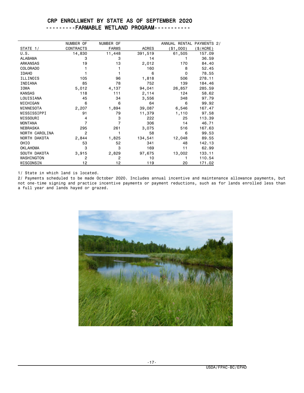#### CRP ENROLLMENT BY STATE AS OF SEPTEMBER 2020 ---------FARMABLE WETLAND PROGRAM-----------

|                 | NUMBER OF        | NUMBER OF    |              | ANNUAL RENTAL PAYMENTS 2/ |           |
|-----------------|------------------|--------------|--------------|---------------------------|-----------|
| STATE 1/        | <b>CONTRACTS</b> | <b>FARMS</b> | <b>ACRES</b> | (\$1,000)                 | (\$/ACRE) |
| U.S.            | 14,830           | 11,448       | 391,519      | 61,505                    | 157.09    |
| <b>ALABAMA</b>  | 3                | 3            | 14           |                           | 36.59     |
| <b>ARKANSAS</b> | 19               | 13           | 2,012        | 170                       | 84.40     |
| <b>COLORADO</b> |                  |              | 160          | 8                         | 52.45     |
| <b>IDAHO</b>    |                  |              | 6            | $\Omega$                  | 78.55     |
| ILLINOIS        | 105              | 96           | 1,818        | 506                       | 278.11    |
| INDIANA         | 85               | 78           | 752          | 139                       | 184,46    |
| <b>IOWA</b>     | 5,012            | 4,137        | 94,041       | 26,857                    | 285.59    |
| <b>KANSAS</b>   | 118              | 111          | 2,114        | 124                       | 58.62     |
| LOUISIANA       | 45               | 34           | 3,556        | 348                       | 97.79     |
| MICHIGAN        | 6                | 6            | 64           | 6                         | 99.92     |
| MINNESOTA       | 2,207            | 1,894        | 39,087       | 6,546                     | 167.47    |
| MISSISSIPPI     | 91               | 79           | 11,379       | 1,110                     | 97.58     |
| MISSOURI        | 4                | 3            | 222          | 25                        | 113.39    |
| <b>MONTANA</b>  | 7                | 7            | 306          | 14                        | 46.71     |
| <b>NEBRASKA</b> | 295              | 261          | 3,075        | 516                       | 167.63    |
| NORTH CAROLINA  | 2                |              | 58           | 6                         | 99.53     |
| NORTH DAKOTA    | 2,844            | 1,825        | 134,541      | 12,048                    | 89.55     |
| OHIO            | 53               | 52           | 341          | 48                        | 142.13    |
| <b>OKLAHOMA</b> | 3                | 3            | 169          | 11                        | 62.99     |
| SOUTH DAKOTA    | 3,915            | 2,829        | 97,675       | 13,002                    | 133.11    |
| WASHINGTON      | $\overline{2}$   | 2            | 10           |                           | 110.54    |
| WISCONSIN       | 12               | 12           | 119          | 20                        | 171.02    |

1/ State in which land is located.

2/ Payments scheduled to be made October 2020. Includes annual incentive and maintenance allowance payments, but not one-time signing and practice incentive payments or payment reductions, such as for lands enrolled less than a full year and lands hayed or grazed.

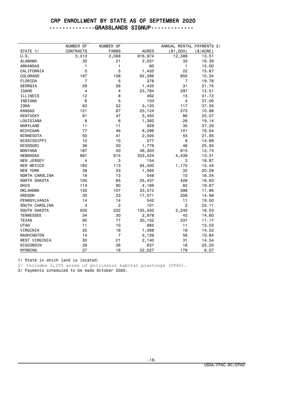--------------GRASSLANDS SIGNUP-------------

| NUMBER OF<br>NUMBER OF<br>ANNUAL RENTAL PAYMENTS 2/<br><b>ACRES</b><br><b>CONTRACTS</b><br><b>FARMS</b><br>( \$1,000)<br>(\$/ACRE)<br>STATE 1/<br>12,388<br>U.S.<br>3,313<br>2,068<br>916,974<br>13.51<br><b>ALABAMA</b><br>30<br>21<br>2,031<br>33<br>16.39<br>1<br>1<br><b>ARKANSAS</b><br>60<br>$\mathbf{1}$<br>15.00<br>5<br>5<br>22<br>CALIFORNIA<br>1,435<br>15.67<br>187<br>108<br>82,286<br>850<br>10.34<br><b>COLORADO</b><br>FLORIDA<br>7<br>5<br>378<br>7<br>19.78<br>29<br>26<br>1,435<br>31<br>GEORGIA<br>21.75<br>23,784<br><b>IDAHO</b><br>4<br>4<br>297<br>12.51<br>12<br>8<br>ILLINOIS<br>462<br>15<br>31.72<br>5<br>INDIANA<br>6<br>103<br>4<br>37.06<br>3,120<br>IOWA<br>63<br>52<br>117<br>37.35<br>25,124<br><b>KANSAS</b><br>121<br>87<br>273<br>10.88<br><b>KENTUCKY</b><br>81<br>47<br>3,450<br>86<br>25.07<br>LOUISIANA<br>8<br>6<br>26<br>19.14<br>1,382<br><b>MARYLAND</b><br>11<br>11<br>929<br>35<br>37.20<br>77<br>6,296<br>101<br>MICHIGAN<br>46<br>16.04<br>50<br>MINNESOTA<br>41<br>2,505<br>55<br>21.95<br>577<br>MISSISSIPPI<br>10<br>10<br>8<br>14.66<br>36<br>30<br>1,776<br>MISSOURI<br>46<br>25.93<br>187<br>48,303<br><b>MONTANA</b><br>50<br>615<br>12.74<br>991<br>4,439<br><b>NEBRASKA</b><br>615<br>333,424<br>13.31<br>NEW JERSEY<br>4<br>3<br>154<br>3<br>18.87<br>162<br>113<br>94,400<br>NEW MEXICO<br>1,175<br>12.45 |  |  |  |
|-----------------------------------------------------------------------------------------------------------------------------------------------------------------------------------------------------------------------------------------------------------------------------------------------------------------------------------------------------------------------------------------------------------------------------------------------------------------------------------------------------------------------------------------------------------------------------------------------------------------------------------------------------------------------------------------------------------------------------------------------------------------------------------------------------------------------------------------------------------------------------------------------------------------------------------------------------------------------------------------------------------------------------------------------------------------------------------------------------------------------------------------------------------------------------------------------------------------------------------------------------------------------------------------------------------------------------------------------------------------------|--|--|--|
|                                                                                                                                                                                                                                                                                                                                                                                                                                                                                                                                                                                                                                                                                                                                                                                                                                                                                                                                                                                                                                                                                                                                                                                                                                                                                                                                                                       |  |  |  |
|                                                                                                                                                                                                                                                                                                                                                                                                                                                                                                                                                                                                                                                                                                                                                                                                                                                                                                                                                                                                                                                                                                                                                                                                                                                                                                                                                                       |  |  |  |
|                                                                                                                                                                                                                                                                                                                                                                                                                                                                                                                                                                                                                                                                                                                                                                                                                                                                                                                                                                                                                                                                                                                                                                                                                                                                                                                                                                       |  |  |  |
|                                                                                                                                                                                                                                                                                                                                                                                                                                                                                                                                                                                                                                                                                                                                                                                                                                                                                                                                                                                                                                                                                                                                                                                                                                                                                                                                                                       |  |  |  |
|                                                                                                                                                                                                                                                                                                                                                                                                                                                                                                                                                                                                                                                                                                                                                                                                                                                                                                                                                                                                                                                                                                                                                                                                                                                                                                                                                                       |  |  |  |
|                                                                                                                                                                                                                                                                                                                                                                                                                                                                                                                                                                                                                                                                                                                                                                                                                                                                                                                                                                                                                                                                                                                                                                                                                                                                                                                                                                       |  |  |  |
|                                                                                                                                                                                                                                                                                                                                                                                                                                                                                                                                                                                                                                                                                                                                                                                                                                                                                                                                                                                                                                                                                                                                                                                                                                                                                                                                                                       |  |  |  |
|                                                                                                                                                                                                                                                                                                                                                                                                                                                                                                                                                                                                                                                                                                                                                                                                                                                                                                                                                                                                                                                                                                                                                                                                                                                                                                                                                                       |  |  |  |
|                                                                                                                                                                                                                                                                                                                                                                                                                                                                                                                                                                                                                                                                                                                                                                                                                                                                                                                                                                                                                                                                                                                                                                                                                                                                                                                                                                       |  |  |  |
|                                                                                                                                                                                                                                                                                                                                                                                                                                                                                                                                                                                                                                                                                                                                                                                                                                                                                                                                                                                                                                                                                                                                                                                                                                                                                                                                                                       |  |  |  |
|                                                                                                                                                                                                                                                                                                                                                                                                                                                                                                                                                                                                                                                                                                                                                                                                                                                                                                                                                                                                                                                                                                                                                                                                                                                                                                                                                                       |  |  |  |
|                                                                                                                                                                                                                                                                                                                                                                                                                                                                                                                                                                                                                                                                                                                                                                                                                                                                                                                                                                                                                                                                                                                                                                                                                                                                                                                                                                       |  |  |  |
|                                                                                                                                                                                                                                                                                                                                                                                                                                                                                                                                                                                                                                                                                                                                                                                                                                                                                                                                                                                                                                                                                                                                                                                                                                                                                                                                                                       |  |  |  |
|                                                                                                                                                                                                                                                                                                                                                                                                                                                                                                                                                                                                                                                                                                                                                                                                                                                                                                                                                                                                                                                                                                                                                                                                                                                                                                                                                                       |  |  |  |
|                                                                                                                                                                                                                                                                                                                                                                                                                                                                                                                                                                                                                                                                                                                                                                                                                                                                                                                                                                                                                                                                                                                                                                                                                                                                                                                                                                       |  |  |  |
|                                                                                                                                                                                                                                                                                                                                                                                                                                                                                                                                                                                                                                                                                                                                                                                                                                                                                                                                                                                                                                                                                                                                                                                                                                                                                                                                                                       |  |  |  |
|                                                                                                                                                                                                                                                                                                                                                                                                                                                                                                                                                                                                                                                                                                                                                                                                                                                                                                                                                                                                                                                                                                                                                                                                                                                                                                                                                                       |  |  |  |
|                                                                                                                                                                                                                                                                                                                                                                                                                                                                                                                                                                                                                                                                                                                                                                                                                                                                                                                                                                                                                                                                                                                                                                                                                                                                                                                                                                       |  |  |  |
|                                                                                                                                                                                                                                                                                                                                                                                                                                                                                                                                                                                                                                                                                                                                                                                                                                                                                                                                                                                                                                                                                                                                                                                                                                                                                                                                                                       |  |  |  |
|                                                                                                                                                                                                                                                                                                                                                                                                                                                                                                                                                                                                                                                                                                                                                                                                                                                                                                                                                                                                                                                                                                                                                                                                                                                                                                                                                                       |  |  |  |
|                                                                                                                                                                                                                                                                                                                                                                                                                                                                                                                                                                                                                                                                                                                                                                                                                                                                                                                                                                                                                                                                                                                                                                                                                                                                                                                                                                       |  |  |  |
|                                                                                                                                                                                                                                                                                                                                                                                                                                                                                                                                                                                                                                                                                                                                                                                                                                                                                                                                                                                                                                                                                                                                                                                                                                                                                                                                                                       |  |  |  |
|                                                                                                                                                                                                                                                                                                                                                                                                                                                                                                                                                                                                                                                                                                                                                                                                                                                                                                                                                                                                                                                                                                                                                                                                                                                                                                                                                                       |  |  |  |
|                                                                                                                                                                                                                                                                                                                                                                                                                                                                                                                                                                                                                                                                                                                                                                                                                                                                                                                                                                                                                                                                                                                                                                                                                                                                                                                                                                       |  |  |  |
|                                                                                                                                                                                                                                                                                                                                                                                                                                                                                                                                                                                                                                                                                                                                                                                                                                                                                                                                                                                                                                                                                                                                                                                                                                                                                                                                                                       |  |  |  |
| <b>NEW YORK</b><br>38<br>33<br>1,565<br>32<br>20.29                                                                                                                                                                                                                                                                                                                                                                                                                                                                                                                                                                                                                                                                                                                                                                                                                                                                                                                                                                                                                                                                                                                                                                                                                                                                                                                   |  |  |  |
| NORTH CAROLINA<br>18<br>13<br>548<br>10<br>18.34                                                                                                                                                                                                                                                                                                                                                                                                                                                                                                                                                                                                                                                                                                                                                                                                                                                                                                                                                                                                                                                                                                                                                                                                                                                                                                                      |  |  |  |
| NORTH DAKOTA<br>100<br>65<br>25,437<br>428<br>16.83                                                                                                                                                                                                                                                                                                                                                                                                                                                                                                                                                                                                                                                                                                                                                                                                                                                                                                                                                                                                                                                                                                                                                                                                                                                                                                                   |  |  |  |
| 82<br>OHI <sub>0</sub><br>114<br>90<br>4,166<br>19.67                                                                                                                                                                                                                                                                                                                                                                                                                                                                                                                                                                                                                                                                                                                                                                                                                                                                                                                                                                                                                                                                                                                                                                                                                                                                                                                 |  |  |  |
| <b>OKLAHOMA</b><br>150<br>107<br>33,572<br>398<br>11.86                                                                                                                                                                                                                                                                                                                                                                                                                                                                                                                                                                                                                                                                                                                                                                                                                                                                                                                                                                                                                                                                                                                                                                                                                                                                                                               |  |  |  |
| OREGON<br>30<br>23<br>256<br>17,071<br>14.98                                                                                                                                                                                                                                                                                                                                                                                                                                                                                                                                                                                                                                                                                                                                                                                                                                                                                                                                                                                                                                                                                                                                                                                                                                                                                                                          |  |  |  |
| 14<br>11<br>PENNSYLVANIA<br>14<br>542<br>19.50                                                                                                                                                                                                                                                                                                                                                                                                                                                                                                                                                                                                                                                                                                                                                                                                                                                                                                                                                                                                                                                                                                                                                                                                                                                                                                                        |  |  |  |
| $\overline{2}$<br>3<br>101<br>2<br>SOUTH CAROLINA<br>22.11                                                                                                                                                                                                                                                                                                                                                                                                                                                                                                                                                                                                                                                                                                                                                                                                                                                                                                                                                                                                                                                                                                                                                                                                                                                                                                            |  |  |  |
| 222<br>135,550<br>2,240<br>SOUTH DAKOTA<br>500<br>16.53                                                                                                                                                                                                                                                                                                                                                                                                                                                                                                                                                                                                                                                                                                                                                                                                                                                                                                                                                                                                                                                                                                                                                                                                                                                                                                               |  |  |  |
| <b>TENNESSEE</b><br>34<br>30<br>2,978<br>14.60<br>43                                                                                                                                                                                                                                                                                                                                                                                                                                                                                                                                                                                                                                                                                                                                                                                                                                                                                                                                                                                                                                                                                                                                                                                                                                                                                                                  |  |  |  |
| 95<br>77<br>337<br><b>TEXAS</b><br>30,152<br>11.17                                                                                                                                                                                                                                                                                                                                                                                                                                                                                                                                                                                                                                                                                                                                                                                                                                                                                                                                                                                                                                                                                                                                                                                                                                                                                                                    |  |  |  |
| 11<br>882<br>11<br><b>UTAH</b><br>10<br>13.03                                                                                                                                                                                                                                                                                                                                                                                                                                                                                                                                                                                                                                                                                                                                                                                                                                                                                                                                                                                                                                                                                                                                                                                                                                                                                                                         |  |  |  |
| VIRGINIA<br>25<br>18<br>1,068<br>16<br>14.52                                                                                                                                                                                                                                                                                                                                                                                                                                                                                                                                                                                                                                                                                                                                                                                                                                                                                                                                                                                                                                                                                                                                                                                                                                                                                                                          |  |  |  |
| 14<br>7<br>56<br>WASHINGTON<br>5,126<br>10.84                                                                                                                                                                                                                                                                                                                                                                                                                                                                                                                                                                                                                                                                                                                                                                                                                                                                                                                                                                                                                                                                                                                                                                                                                                                                                                                         |  |  |  |
| 21<br>31<br>WEST VIRGINIA<br>30<br>2,140<br>14.54                                                                                                                                                                                                                                                                                                                                                                                                                                                                                                                                                                                                                                                                                                                                                                                                                                                                                                                                                                                                                                                                                                                                                                                                                                                                                                                     |  |  |  |
| WISCONSIN<br>26<br>16<br>28<br>637<br>25.20                                                                                                                                                                                                                                                                                                                                                                                                                                                                                                                                                                                                                                                                                                                                                                                                                                                                                                                                                                                                                                                                                                                                                                                                                                                                                                                           |  |  |  |
| 27<br>WYOMING<br>16<br>22,027<br>178<br>8.07                                                                                                                                                                                                                                                                                                                                                                                                                                                                                                                                                                                                                                                                                                                                                                                                                                                                                                                                                                                                                                                                                                                                                                                                                                                                                                                          |  |  |  |

1/ State in which land is located.

2/ Includes 3,255 acres of pollinator habitat plantings (CP42).

3/ Payments scheduled to be made October 2020.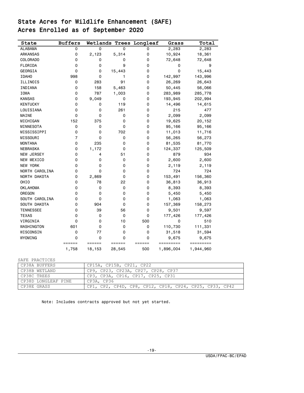## State Acres for Wildlife Enhancement (SAFE) Acres Enrolled as of September 2020

| State             | <b>Buffers</b> |        |             | Wetlands Trees Longleaf | Grass     | Total     |
|-------------------|----------------|--------|-------------|-------------------------|-----------|-----------|
| <b>ALABAMA</b>    | 0              | 0      | 0           | 0                       | 2,283     | 2,283     |
| ARKANSAS          | 0              | 2,123  | 5,314       | 0                       | 10,924    | 18,361    |
| COLORADO          | 0              | 0      | 0           | 0                       | 72,648    | 72,648    |
| FLORIDA           | 0              | 0      | 9           | 0                       | 0         | 9         |
| GEORGIA           | 0              | 0      | 15,443      | 0                       | 0         | 15,443    |
| <b>IDAHO</b>      | 998            | 0      | 1           | 0                       | 142,997   | 143,996   |
| ILLINOIS          | 0              | 283    | 91          | 0                       | 26,269    | 26,643    |
| INDIANA           | 0              | 158    | 5,463       | 0                       | 50,445    | 56,066    |
| <b>IOWA</b>       | 0              | 787    | 1,003       | 0                       | 283,989   | 285,778   |
| <b>KANSAS</b>     | 0              | 9,049  | 0           | 0                       | 193,945   | 202,994   |
| <b>KENTUCKY</b>   | 0              | 0      | 119         | 0                       | 14,496    | 14,615    |
| LOUISIANA         | 0              | 0      | 261         | 0                       | 215       | 477       |
| MAINE             | 0              | 0      | 0           | 0                       | 2,099     | 2,099     |
| MICHIGAN          | 152            | 375    | 0           | 0                       | 19,625    | 20,152    |
| MINNESOTA         | 0              | 0      | 0           | 0                       | 95,166    | 95,166    |
| MISSISSIPPI       | 0              | 0      | 702         | 0                       | 11,013    | 11,716    |
| MISSOURI          | $\overline{7}$ | 0      | 0           | 0                       | 56,265    | 56,273    |
| <b>MONTANA</b>    | 0              | 235    | 0           | 0                       | 81,535    | 81,770    |
| <b>NEBRASKA</b>   | 0              | 1,172  | 0           | 0                       | 124,337   | 125,509   |
| <b>NEW JERSEY</b> | 0              | 4      | 51          | 0                       | 879       | 934       |
| NEW MEXICO        | 0              | 0      | 0           | 0                       | 2,600     | 2,600     |
| NEW YORK          | 0              | 0      | 0           | 0                       | 2,119     | 2,119     |
| NORTH CAROLINA    | 0              | 0      | $\mathbf 0$ | 0                       | 724       | 724       |
| NORTH DAKOTA      | 0              | 2,869  | 0           | 0                       | 153,491   | 156,360   |
| OHIO              | 0              | 78     | 22          | 0                       | 36,813    | 36,913    |
| <b>OKLAHOMA</b>   | 0              | 0      | $\Omega$    | 0                       | 8,393     | 8,393     |
| OREGON            | 0              | 0      | 0           | $\mathbf 0$             | 5,450     | 5,450     |
| SOUTH CAROLINA    | 0              | 0      | 0           | 0                       | 1,063     | 1,063     |
| SOUTH DAKOTA      | 0              | 904    | 0           | 0                       | 157,369   | 158,273   |
| <b>TENNESSEE</b>  | 0              | 39     | 56          | $\mathbf 0$             | 9,501     | 9,597     |
| <b>TEXAS</b>      | 0              | 0      | 0           | 0                       | 177,426   | 177,426   |
| VIRGINIA          | 0              | 0      | 10          | 500                     | 0         | 510       |
| WASHINGTON        | 601            | 0      | 0           | 0                       | 110,730   | 111,331   |
| WISCONSIN         | 0              | 77     | 0           | $\mathbf 0$             | 31,518    | 31,594    |
| WYOMING           | 0              | 0      | $\Omega$    | 0                       | 9,675     | 9,675     |
|                   | ======         | ====== | ======      | ======                  | ========= | ========= |
|                   | 1,758          | 18,153 | 28,545      | 500                     | 1,896,004 | 1,944,960 |

SAFE PRACTICES

| I CP38A BUFFERS     | CP15A, CP15B, CP21, CP22                                |
|---------------------|---------------------------------------------------------|
| CP38B WETLAND       | CP9, CP23, CP23A, CP27, CP28, CP37                      |
| CP38C TREES         | CP3, CP3A, CP16, CP17, CP25, CP31                       |
| CP38D LONGLEAF PINE | CP3A, CP36                                              |
| CP38E GRASS         | CP1, CP2, CP4D, CP8, CP12, CP18, CP24, CP25, CP33, CP42 |

Note: Includes contracts approved but not yet started.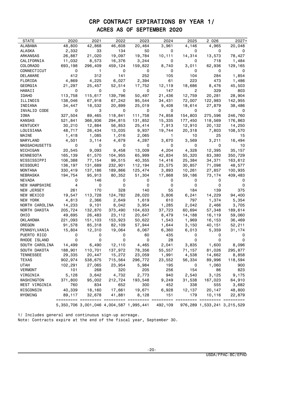## CRP CONTRACT EXPIRATIONS BY YEAR 1/ ACRES AS OF SEPTEMBER 2020

| STATE                          | 2020              | 2021                                            | 2022             | 2023             | 2024            | 2025            | 2 0 2 6                     | $2027+$        |
|--------------------------------|-------------------|-------------------------------------------------|------------------|------------------|-----------------|-----------------|-----------------------------|----------------|
| ALABAMA                        | 48,800            | 42,868                                          | 46,608           | 20,464           | 3,961           | 4,146           | 4,965                       | 20,048         |
| ALASKA                         | 2,332             | 33                                              | 134              | 50               | 0               | 0               | 0                           | 0              |
| ARKANSAS                       | 26,887            | 21,020                                          | 19,097           | 19,784           | 10,111          | 14,314          | 13,573                      | 78,427         |
| CALIFORNIA                     | 11,032            | 8,573                                           | 16,376           | 3,244            | 0               | 0               | 718                         | 1,484          |
| COLORADO                       | 693,198           | 296,409                                         | 459,124          | 159,822          | 8,740           | 3,011           | 62,936                      | 129,165        |
| CONNECTICUT                    | 0                 | 1.                                              | 0                | 0                | 0               | 0               | 0                           | 0              |
| DELAWARE                       | 412               | 312                                             | 141              | 252              | 105             | 104             | 284                         | 1,854          |
| FLORIDA                        | 4,869             | 4,225                                           | 6,027            | 2,394            | 61              | 223             | 473                         | 1,486          |
| GEORGIA                        | 21,297            | 25,457                                          | 52,514           | 17,752           | 12,119          | 18,686          | 8,476                       | 45,503         |
| HAWAII                         | 0                 | 0                                               | 0                | 0                | 147             | 2               | 329                         | 803            |
| <b>IDAHO</b>                   | 113,758           | 115,617                                         | 139,796          | 50,497           | 21,436          | 12,759          | 20,281                      | 28,904         |
| ILLINOIS                       | 138,046           | 67,918                                          | 67,242           | 95,544           | 34,431          | 72,007          | 122,983                     | 142,955        |
| INDIANA                        | 34,447            | 18,532                                          | 20,899           | 25,019           | 9,408           | 18,614          | 27,879                      | 38,486         |
| INVALID CODE                   | 0                 | 3                                               | 0                | 0                | 0               | 0               | 0                           | 0              |
| IOWA                           | 327,504           | 89,465                                          | 118,841          | 111,758          | 74,858          | 154,803         | 275,596                     | 246,760        |
| KANSAS                         | 521,841           | 366,936                                         | 294,815          | 131,852          | 15,335          | 177,450         | 118,569                     | 176,863        |
| KENTUCKY                       | 30,210            | 12,884                                          | 56,853           | 25,414           | 7,913           | 12,910          | 20,132                      | 14,250         |
| LOUISIANA                      | 48,717            | 26,434                                          | 13,035           | 9,937            | 19,744          | 20,318          | 7,803                       | 108,570        |
| MAINE                          | 1,418             | 1,085                                           | 1,016            | 2,065            | $\mathbf{1}$    | 10              | 25                          | 15             |
| MARYLAND                       | 4,501             | 3,114                                           | 4,679            | 4,287            | 3,670           | 3,569           | 3,211                       | 16,494         |
| MASSACHUSETTS                  | 0                 | 0                                               | 0                | 0                | 0               | 0               | 0                           | 10             |
| MICHIGAN                       | 20,545            | 9,093                                           | 9,458            | 13,009           | 4,204           | 4,328           | 12,395                      | 35,157         |
| MINNESOTA                      | 165,139           | 61,570                                          | 104,955          | 65,999           | 42,834          | 55,320          | 83,380                      | 350,729        |
| MISSISSIPPI                    | 106,388           | 77,154                                          | 99,515           | 40,355           | 14,416          | 25,384          | 34,371                      | 163,612        |
| MISSOURI                       | 136,197           | 131,689                                         | 232,901          | 112,194          | 23,575          | 30,857          | 71,098                      | 48,577         |
| MONTANA                        | 330,419           | 137,186                                         | 189,866          | 125,474          | 3,893           | 10,261          | 27,857                      | 100,935        |
| NEBRASKA                       | 194,754           | 95,913                                          | 80,352           | 51,304           | 17,868          | 59,186          | 73,174                      | 409,483        |
| NEVADA                         | 0                 | 146                                             | 0                | 0                | 0               | 0               | 0                           | 0              |
| <b>NEW HAMPSHIRE</b>           | 4                 | 0                                               | 0                | 0                | 0               | 0               | 0                           | 0              |
| NEW JERSEY                     | 261               | 170                                             | 328              | 140              | 55              | 184             | 139                         | 375            |
| NEW MEXICO                     | 19,547            | 113,728                                         | 124,782          | 28,020           | 3,806           | 6,241<br>797    | 14,229                      | 94,400         |
| NEW YORK                       | 4,813             | 2,366                                           | 2,649            | 1,619            | 610             |                 | 1,374                       | 5,354<br>3,705 |
| NORTH CAROLINA<br>NORTH DAKOTA | 14,233<br>205,724 | 9,101<br>132,870                                | 8,042<br>373,490 | 3,954<br>104,633 | 1,285<br>37,723 | 2,042<br>60,694 | 2,466<br>57,348             | 189,614        |
| OHIO                           | 49,695            | 26,483                                          | 23,112           | 20,647           | 8,479           | 14,188          | 16,119                      | 59,060         |
| OKLAHOMA                       | 221,093           | 151,103                                         | 153,923          | 50,622           | 1,543           | 1,969           | 16,153                      | 36,469         |
| OREGON                         | 91,578            | 85,318                                          | 82,109           | 57,944           | 1,644           | 3,150           | 40,151                      | 52,211         |
| PENNSYLVANIA                   | 15,804            | 12,310                                          | 19,064           | 6,067            | 6,360           | 6,013           | 5,359                       | 31,174         |
| PUERTO RICO                    | 0                 | 0                                               | 0                | 60               | 435             | 0               | 0                           | 0              |
| RHODE ISLAND                   | 0                 | 0                                               | 0                | 0                | 28              | 0               | 0                           | 0              |
| SOUTH CAROLINA                 | 14,499            | 6,490                                           | 12,110           | 4,465            | 2,041           | 3,835           | 1,600                       | 8,096          |
| SOUTH DAKOTA                   | 188,901           | 110,701                                         | 137,972          | 78,356           | 55,557          | 71,157          | 81,026                      | 295,877        |
| TENNESSEE                      | 29,335            | 20,447                                          | 15,272           | 23,059           | 1,991           | 4,538           | 14,662                      | 8,858          |
| TEXAS                          | 902,974           | 538,675                                         | 715,564          | 296,772          | 23,552          | 56,334          | 89,996                      | 118,594        |
| UTAH                           | 102,291           | 27,065                                          | 23,954           | 5,984            | 195             | 0               | 1,060                       | 900            |
| <b>VERMONT</b>                 | 101               | 268                                             | 320              | 205              | 256             | 154             | 86                          | 823            |
| VIRGINIA                       | 5,128             | 3,642                                           | 4,732            | 2,773            | 940             | 2,540           | 3,125                       | 9,175          |
| WASHINGTON                     | 371,800           | 95,002                                          | 212,724          | 193,548          | 9,249           | 31,538          | 167,023                     | 64,910         |
| WEST VIRGINIA                  | 760               | 834                                             | 652              | 300              | 452             | 338             | 555                         | 3,682          |
| WISCONSIN                      | 40,339            | 18,160                                          | 17,661           | 19,671           | 6,928           | 12,137          | 20,147                      | 48,800         |
| WYOMING                        | 89,117            | 32,678                                          | 41,881           | 8,128            | 151             | 179             | 10,116                      | 22,879         |
|                                |                   |                                                 |                  |                  |                 |                 |                             |                |
|                                |                   | 5, 350, 706 3, 001, 046 4, 004, 587 1, 995, 441 |                  |                  | 492,109         |                 | 976,289 1,533,241 3,215,529 |                |

1/ Includes general and continuous sign-up acreage.

Note: Contracts expire at the end of the fiscal year, September 30.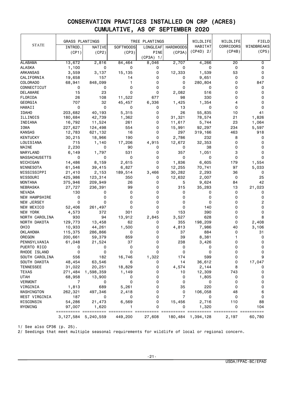|                      | <b>GRASS PLANTINGS</b> |           |                  | TREE PLANTINGS |                  | WILDLIFE    | WILDLIFE  | FIELD      |
|----------------------|------------------------|-----------|------------------|----------------|------------------|-------------|-----------|------------|
| <b>STATE</b>         | INTROD.                | NATIVE    | <b>SOFTWOODS</b> | LONGLEAF       | <b>HARDWOODS</b> | HABITAT     | CORRIDORS | WINDBREAKS |
|                      | (CP1)                  | (CP2)     | (CP3)            | PINE           | (CP3A)           | $(CP4D)$ 2/ | (CP4B)    | (CP5)      |
|                      |                        |           |                  | $(CP3A)$ 1/    |                  |             |           |            |
| <b>ALABAMA</b>       | 13,672                 | 2,816     | 84,464           | 8,046          | 2,707            | 4,266       | 20        | 0          |
| <b>ALASKA</b>        | 1,100                  | 0         | 0                | 0              | 0                | 0           | 0         | 0          |
| ARKANSAS             | 3,559                  | 3,137     | 15,135           | 0              | 12,333           | 1,539       | 53        | 0          |
| CALIFORNIA           | 19,658                 | 157       | 14               | 0              | 0                | 9,651       | 0         | 0          |
| COLORADO             | 68,941                 | 848,099   | $\mathbf{1}$     | 0              | 0                | 280,804     | 0         | 847        |
| CONNECTICUT          | 0                      | 0         | 0                | 0              | 0                | 0           | 0         | 0          |
| DELAWARE             | 15                     | 23        | 0                | 0              | 2,082            | 516         | 0         | 0          |
| FLORIDA              | 26                     | 108       | 11,522           | 677            | 98               | 330         | 0         | 0          |
| <b>GEORGIA</b>       | 707                    | 32        | 45,457           | 6,336          | 1,425            | 1,354       | 4         | 0          |
| HAWAII               | 0                      | 0         | 0                | 0              | 13               | 0           | 0         | 0          |
| <b>IDAHO</b>         | 203,682                | 40,193    | 5,315            | 0              | 26               | 55,835      | 10        | 41         |
| ILLINOIS             | 180,684                | 42,739    | 1,362            | 0              | 31,321           | 78,574      | 21        | 1,826      |
| INDIANA              | 16,792                 | 11,524    | 261              | 0              | 11,617           | 5,744       | 23        | 1,064      |
| IOWA                 | 227,627                | 124,498   | 554              | 0              | 15,991           | 92,297      | 234       | 5,597      |
| <b>KANSAS</b>        | 12,783                 | 621,132   | 16               | 0              | 297              | 319,166     | 463       | 918        |
| <b>KENTUCKY</b>      | 30,215                 | 18,966    | 190              | 0              | 2,786            | 232         | 8         | 0          |
| LOUISIANA            | 715                    | 1,140     | 17,206           | 4,915          | 12,672           | 32,353      | 0         | 0          |
| MAINE                | 2,230                  | 0         | 90               | 0              | 0                | 38          | 0         | 0          |
| MARYLAND             | 6,149                  | 1,797     | 531              | 0              | 357              | 1,051       | 3         | 0          |
| <b>MASSACHUSETTS</b> | 0                      | 0         | 0                | 0              | 0                | 0           | 0         | 0          |
| MICHIGAN             | 14,486                 | 8,159     | 2,615            | 0              | 1,836            | 6,605       | 179       | 1,554      |
| MINNESOTA            | 61,546                 | 39,415    | 6,827            | 0              | 12,255           | 70,741      | 97        | 5,033      |
| MISSISSIPPI          | 21,410                 | 2,153     | 189,514          | 3,466          | 30,282           | 2,293       | 36        | 0          |
| MISSOURI             | 425,986                | 123,314   | 350              | 0              | 12,632           | 2,007       | 0         | 25         |
| MONTANA              | 375,946                | 209,949   | 26               | 0              | 5                | 9,624       | 84        | 42         |
| NEBRASKA             | 27,727                 | 236,391   | 99               | 0              | 315              | 35,283      | 13        | 21,023     |
| <b>NEVADA</b>        | 130                    | 0         | 0                | 0              | 0                | 0           | 0         | 0          |
| <b>NEW HAMPSHIRE</b> | 0                      | 0         | 0                | 0              | 0                | 0           | 0         | 0          |
| NEW JERSEY           | 0                      | 0         | 0                | 0              | 0                | 0           | 0         | 2          |
| NEW MEXICO           | 52,406                 | 261,497   | 0                | 0              | 0                | 140         | 0         | 0          |
| NEW YORK             | 4,573                  | 372       | 301              | 0              | 153              | 390         | 0         | 0          |
| NORTH CAROLINA       | 930                    | 94        | 13,912           | 2,845          | 3,527            | 628         | 0         | 8          |
| NORTH DAKOTA         | 129,773                | 13,458    | 62               | 0              | 355              | 198,209     | 0         | 2,408      |
| OHI <sub>0</sub>     | 10,933                 | 44,261    | 1,500            | 0              | 4,813            | 7,986       | 40        | 3,106      |
| <b>OKLAHOMA</b>      | 115,375                | 286,866   | 0                | 0              | 37               | 884         | 0         | 31         |
| OREGON               | 200,661                | 59,379    | 859              | 0              | 39               | 8,381       | 1         | 0          |
| PENNSYLVANIA         | 61,048                 | 21,524    | 37               | 0              | 238              | 3,426       | 0         | 0          |
| PUERTO RICO          | 0                      | 0         | 0                | 0              | 0                | 0           | 0         | 0          |
| RHODE ISLAND         | 0                      | 0         | 0                | 0              | 0                | 0           | 0         | 0          |
| SOUTH CAROLINA       | 556                    | 182       | 16,746           | 1,322          | 174              | 599         | O         |            |
| SOUTH DAKOTA         | 48,454                 | 63,546    | 6                | 0              | 14               | 36,612      | 0         | 17,047     |
| <b>TENNESSEE</b>     | 31,022                 | 20,251    | 18,829           | 0              | 4,574            | 2,144       | 8         | 0          |
| <b>TEXAS</b>         | 271,484                | 1,598,359 | 1,149            | 0              | 10               | 12,309      | 743       | 0          |
| UTAH                 | 68,958                 | 13,900    | 0                | 0              | 0                | 1,805       | 0         | 0          |
| VERMONT              | 7                      | 0         | 0                | 0              | 0                | 0           | 0         | 0          |
| VIRGINIA             | 1,813                  | 689       | 5,261            | 0              | 35               | 220         | 0         | 0          |
| WASHINGTON           | 262,321                | 497,346   | 2,418            | 0              | 0                | 106,058     | 48        | 6          |
| WEST VIRGINIA        | 187                    | 0         | 0                | 0              | $\overline{7}$   | 0           | 0         | 0          |
| WISCONSIN            | 54,286                 | 21,473    | 6,569            | 0              | 15,456           | 2,716       | 110       | 88         |
| WYOMING              | 97,007                 | 1,620     | 1                | 0              | 0                | 1,320       | 0         | 104        |
|                      | ==================     |           | =======          | === ===        | ======= ======   |             | ====      | ======     |
|                      | 3,127,584              | 5,240,559 | 449,200          | 27,608         | 180,484          | 1,394,128   | 2,197     | 60,780     |

1/ See also CP36 (p. 25).

2/ Seedings that meet multiple seasonal requirements for wildlife of local or regional concern.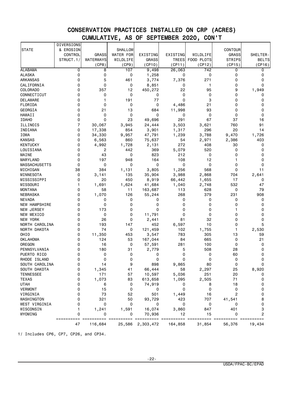|                      | <b>DIVERSIONS</b> |              |                  |              |              |                  |                                 |              |
|----------------------|-------------------|--------------|------------------|--------------|--------------|------------------|---------------------------------|--------------|
| <b>STATE</b>         | & EROSION         |              | SHALLOW          |              |              |                  | CONTOUR                         |              |
|                      | CONTROL           | <b>GRASS</b> | <b>WATER FOR</b> | EXISTING     | EXISTING     | WILDLIFE         | <b>GRASS</b>                    | SHELTER-     |
|                      | STRUCT.1/         | WATERWAYS    | WILDLIFE         | <b>GRASS</b> | <b>TREES</b> | FOOD PLOTS       | <b>STRIPS</b>                   | <b>BELTS</b> |
|                      |                   | (CP8)        | (CP9)            | (CP10)       | (CP11)       | (CP12)           | (CP15)                          | (CP16)       |
| <b>ALABAMA</b>       | 0                 | 8            | 107              | 9,498        | 26,063       | $\overline{742}$ | 0                               | 0            |
| <b>ALASKA</b>        | 0                 | 0            | 0                | 1,258        | 0            | 0                | 0                               | 0            |
| <b>ARKANSAS</b>      | 0                 | 5            | 461              | 3,774        | 7,376        | 271              | 0                               | $\mathbf 0$  |
| CALIFORNIA           | 0                 | 0            | 0                | 8,851        | 0            | 1                | $\mathbf 0$                     | $\Omega$     |
| COLORADO             | 0                 | 357          | 12               | 450,272      | 22           | 95               | 9                               | 1,949        |
| CONNECTICUT          | 0                 | 0            | 0                | 0            | 0            | 0                | 0                               | 0            |
| <b>DELAWARE</b>      | 0                 | 1            | 191              | 77           | 0            | 3                | 0                               | 0            |
| FLORIDA              | 0                 | 0            | 0                | 0            | 4,486        | 21               | 0                               | 0            |
| GEORGIA              | 0                 | 21           | 13               | 684          | 11,998       | 93               | 0                               | 0            |
| <b>HAWAII</b>        | 0                 | 0            | 0                | 0            | 0            | 0                | $\mathbf 0$                     | 0            |
| <b>IDAHO</b>         | 0                 | 0            | 23               |              | 291          | 67               | 37                              | 16           |
|                      | $\overline{7}$    |              |                  | 49,696       |              |                  |                                 |              |
| ILLINOIS             |                   | 30,067       | 3,945            | 24,444       | 3,503        | 3,621            | 760                             | 91           |
| INDIANA              | 0                 | 17,338       | 854              | 3,901        | 1,317        | 296              | 20                              | 14           |
| IOWA                 | 0                 | 34,330       | 9,957            | 47,791       | 1,239        | 3,788            | 9,470                           | 1,726        |
| <b>KANSAS</b>        | 0                 | 6,563        | 860              | 75,637       | 54           | 2,971            | 2,386                           | 403          |
| <b>KENTUCKY</b>      | 0                 | 4,992        | 1,728            | 2,131        | 272          | 408              | 30                              | 0            |
| LOUISIANA            | 0                 | 2            | 442              | 369          | 5,079        | 520              | $\mathbf 0$                     | 0            |
| MAINE                | 0                 | 43           | 0                | 823          | 212          | 0                | $\mathbf 0$                     | 0            |
| MARYLAND             | 0                 | 197          | 948              | 164          | 108          | 12               | 1                               | 0            |
| <b>MASSACHUSETTS</b> | $\Omega$          | 0            | 0                | 0            | 0            | 0                | 0                               | 0            |
| MICHIGAN             | 38                | 384          | 1,131            | 3,805        | 1,256        | 568              | 0                               | 11           |
| MINNESOTA            | 0                 | 3,141        | 135              | 35,904       | 3,988        | 2,868            | 704                             | 2,641        |
| MISSISSIPPI          | 0                 | 20           | 450              | 8,919        | 66,442       | 1,655            | 17                              | 0            |
| MISSOURI             | 1                 | 1,691        | 1,624            | 41,684       | 1,040        | 2,748            | 532                             | 47           |
| <b>MONTANA</b>       | 0                 | 58           | 11               | 163,687      | 113          | 628              | 0                               | 79           |
| NEBRASKA             | $\Omega$          | 1,070        | 126              | 55,244       | 268          | 379              | 231                             | 908          |
| <b>NEVADA</b>        | 0                 | 0            | 0                | 0            | 0            | 0                | 0                               | 0            |
| <b>NEW HAMPSHIRE</b> | 0                 | 0            | 0                | 0            | 0            | 0                | $\mathbf 0$                     | 0            |
| NEW JERSEY           | 0                 | 173          | 0                | 0            | 0            | 0                | 1                               | $\Omega$     |
| NEW MEXICO           | 0                 | 0            | 0                | 11,791       | 0            | 0                | $\mathbf 0$                     | 0            |
| <b>NEW YORK</b>      | 0                 | 26           | 0                | 2,441        | 81           | 32               | 0                               | 0            |
| NORTH CAROLINA       | 0                 | 193          | 147              | 452          | 6,597        | 10               | 0                               | 5            |
| NORTH DAKOTA         | 0                 | 74           | 0                | 121,459      | 102          | 1,755            | 1                               | 2,530        |
| OHIO                 | 0                 | 11,350       | 453              | 3,547        | 783          | 305              | 13                              | 59           |
| <b>OKLAHOMA</b>      | 0                 | 124          | 53               | 167,044      | 84           | 665              | 0                               | 21           |
| OREGON               | 0                 | 16           | 0                | 57,591       | 281          | 100              | $\mathbf 0$                     | 0            |
| PENNSYLVANIA         | 0                 | 180          | 31               | 2,779        | 5            | 508              | 28                              | 0            |
| PUERTO RICO          | 0                 | 0            | 0                | 0            | 0            | 0                | 60                              | 0            |
| RHODE ISLAND         | 0                 | 0            | 0                | 0            | 0            | 0                | 0                               | 0            |
| SOUTH CAROLINA       |                   | 14           | 9                | 898          | 9,865        | 80               | 0                               |              |
| SOUTH DAKOTA         | 0                 | 1,345        | 41               | 66,444       | 58           | 2,297            | 25                              | 8,920        |
| <b>TENNESSEE</b>     | 0                 | 171          | 57               | 10,597       | 5,036        | 251              | 20                              | 0            |
| <b>TEXAS</b>         | 0                 | 1,073        | 83               | 613,658      | 1,095        | 2,505            | 71                              | 0            |
| <b>UTAH</b>          | 0                 | 6            | 0                | 74,919       | 0            | 8                | 18                              | 0            |
| <b>VERMONT</b>       | 0                 | 15           | 0                | 0            | 0            | 0                | 0                               | 0            |
| VIRGINIA             | 0                 | 73           | 52               | 501          |              | 16               | $\overline{c}$                  | 0            |
|                      | 0                 |              |                  |              | 1,449        |                  |                                 |              |
| WASHINGTON           |                   | 321          | 50               | 93,729       | 423          | 707              | 41,541                          | 8            |
| WEST VIRGINIA        | 0                 | 0            | 0                | 0            | 0            | 0                | 0                               | 0            |
| WISCONSIN            | 1                 | 1,241        | 1,591            | 16,074       | 3,860        | 847              | 401                             | 3            |
| WYOMING              | 0                 | 0            | 0                | 70,936       | 12           | 15               | 0                               | 2            |
|                      | ==========<br>47  | 116,684      | 25,586           | 2,303,472    | 164,858      | 31,854           | $=$ = = = = = = = = =<br>56,376 | 19,434       |

1/ Includes CP6, CP7, CP26, and CP34.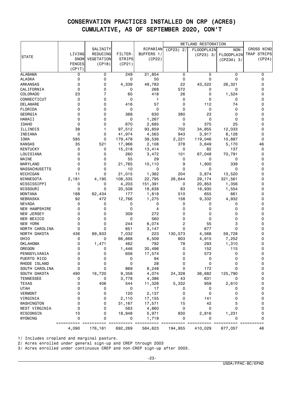|                      |               |                |               |            | WETLAND RESTORATION |                   |              |             |
|----------------------|---------------|----------------|---------------|------------|---------------------|-------------------|--------------|-------------|
|                      |               | SALINITY       |               | RIPARIAN   | $(CP23)$ 2/         | <b>FLOODPLAIN</b> | NON-         | CROSS WIND  |
|                      | LIVING        | REDUCING       | <b>FILTER</b> | BUFFERS 1/ |                     | (CP23) 3/         | FLOODPLAIN   | TRAP STRIPS |
| <b>STATE</b>         | SNOW          | VEGETATION     | <b>STRIPS</b> | (CP22)     |                     |                   | $(CP23A)$ 3/ | (CP24)      |
|                      | <b>FENCES</b> | (CP18)         | (CP21)        |            |                     |                   |              |             |
|                      | (CP17)        |                |               |            |                     |                   |              |             |
| <b>ALABAMA</b>       | 0             | 0              | 249           | 21,854     | 0                   | 5                 | 0            | 0           |
| <b>ALASKA</b>        | 0             | 0              | 0             | 50         | 0                   | 0                 | 0            | 0           |
| <b>ARKANSAS</b>      | 0             | 0              | 4,339         | 49,783     | 22                  | 43,522            | 26,321       | 0           |
| CALIFORNIA           | 0             | 0              | 0             | 268        | 572                 | 0                 | 0            | 0           |
| COLORADO             | 23            | $\overline{7}$ | 60            | 418        | 26                  | 0                 | 1,524        | 0           |
| CONNECTICUT          | 0             | 0              | 0             | 1          | 0                   | 0                 | 0            | 0           |
| <b>DELAWARE</b>      | 0             | 0              | 416           | 57         | 0                   | 112               | 74           | 0           |
| FLORIDA              | 0             | 0              | 0             | 0          | 0                   | 0                 | 0            | 0           |
| GEORGIA              | 0             | 0              | 368           | 630        | 380                 | 23                | 0            | 0           |
| HAWAII               | 0             | 0              | 0             | 1,267      | 0                   | 0                 | 0            | 0           |
| <b>IDAHO</b>         | 0             | 0              | 670           | 2,685      | 0                   | 375               | 25           | 0           |
| ILLINOIS             | 38            | 1              | 97,512        | 93,859     | 702                 | 34,855            | 12,033       | 0           |
| INDIANA              | 0             | 0              | 41,974        | 4,563      | 943                 | 3,917             | 8,128        | 0           |
| IOWA                 | 585           | 0              | 179,478       | 39,536     | 2,221               | 119,046           | 10,887       | 0           |
| <b>KANSAS</b>        | 35            | 521            | 17,966        | 2,108      | 378                 | 3,649             | 5,170        | 46          |
| <b>KENTUCKY</b>      | 0             | 0              | 15,218        | 13,414     | 0                   | 82                | 137          | 0           |
| LOUISIANA            | 0             | 0              | 260           | 3,472      | 101                 | 67,048            | 70,791       | 0           |
| MAINE                | 0             | 0              | 55            | 29         | 0                   | 0                 | 0            | 0           |
| MARYLAND             | 0             | 0              | 21,765        | 10,110     | 9                   | 1,900             | 339          | 0           |
| <b>MASSACHUSETTS</b> | 0             | 0              | 10            | 0          | 0                   | 0                 | 0            | 0           |
| MICHIGAN             | 11            | 0              | 21,015        | 1,362      | 204                 | 3,874             | 13,520       | 0           |
| MINNESOTA            | 2,181         | 4,195          | 108,335       | 22,795     | 26,644              | 29,174            | 321,561      | 0           |
| MISSISSIPPI          | 0             | 0              | 4,203         | 151,391    | 0                   | 20,853            | 1,356        | 0           |
| MISSOURI             | 0             | 0              | 20,508        | 18,638     | 83                  | 18,930            | 1,554        | 0           |
| <b>MONTANA</b>       | 188           | 62,434         | 177           | 1,818      | 510                 | 655               | 661          | 0           |
| NEBRASKA             | 92            | 472            | 12,766        | 1,275      | 158                 | 9,332             | 4,932        | 0           |
| <b>NEVADA</b>        | 0             | 0              | 0             | 0          | 0                   | 0                 | 0            | 0           |
| NEW HAMPSHIRE        | 0             | 0              | 0             | 4          | 0                   | 0                 | 0            | 0           |
| NEW JERSEY           | 0             | 0              | 309           | 272        | 0                   | 0                 | 0            | 0           |
| NEW MEXICO           | 0             | 0              | 0             | 560        | 0                   | 0                 | $\Omega$     | 0           |
| NEW YORK             | 0             | 0              | 244           | 6,074      | 2                   | 55                | 3            | 0           |
| NORTH CAROLINA       | 0             | 0              | 651           | 3,147      | 0                   | 677               | 0            | 0           |
| NORTH DAKOTA         | 436           | 89,933         | 7,032         | 223        | 130,573             | 4,568             | 59,728       | 0           |
| OHIO                 | 0             | 0              | 66,668        | 6,509      | 803                 | 4,915             | 7,252        | 0           |
| <b>OKLAHOMA</b>      | 0             | 1,471          | 462           | 792        | 78                  | 293               | 1,310        | 0           |
| OREGON               | 0             | 0              | 1,446         | 30,496     | 0                   | 152               | 115          | 0           |
| PENNSYLVANIA         | 0             | 0              | 656           | 17,574     | 0                   | 573               | 0            | 0           |
| PUERTO RICO          | 0             | 0              | 0             | 94         | 0                   | 0                 | 0            | 0           |
| RHODE ISLAND         | 0             | 0              | 0             | 28         | 0                   | 0                 | $\Omega$     | 0           |
| SOUTH CAROLINA       | 0             | 0              | 869           | 8,248      | 0                   | 172               | 0            | 0           |
| SOUTH DAKOTA         | 490           | 16,720         | 9,358         | 4,074      | 24,328              | 36,682            | 125,790      | 0           |
| <b>TENNESSEE</b>     | 0             | 0              | 3,778         | 4,386      | 43                  | 631               | 0            | 0           |
| TEXAS                | 0             | 406            | 544           | 11,328     | 5,332               | 959               | 2,610        | 0           |
| <b>UTAH</b>          | 0             | 0              | 0             | 17         | 0                   | 0                 | 0            | 0           |
| VERMONT              | 0             | 0              | 120           | 2,137      | 0                   | 0                 | 0            | 0           |
| VIRGINIA             | 0             | 0              | 2,110         | 17,155     | 0                   | 141               | 0            | 0           |
| WASHINGTON           | 0             | 0              | 31,167        | 17,571     | 15                  | 42                | 5            | 0           |
| WEST VIRGINIA        | 0             | 0              | 563           | 4,860      | 0                   | 0                 | 0            | 0           |
| WISCONSIN            | 10            | 0              | 18,948        | 5,971      | 830                 | 2,816             | 1,231        | 0           |
| WYOMING              | 0             | 0              | 0             | 1,719      | 0                   | 0                 | 0            | 0           |
|                      | ==========    |                |               |            |                     |                   |              | ==========  |
|                      | 4,090         | 176,161        | 692,269       | 584,623    | 194,955             | 410,029           | 677,057      | 46          |

1/ Includes cropland and marginal pasture.

2/ Acres enrolled under general sign-up and CREP through 2003

3/ Acres enrolled under continuous CREP and non-CREP sign-up after 2003.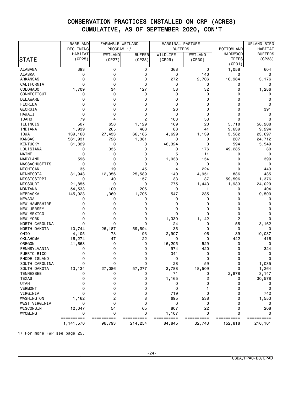|                      | RARE AND                | FARMABLE WETLAND     |                       | MARGINAL PASTURE<br><b>BUFFERS</b> |                      |                       | UPLAND BIRD           |
|----------------------|-------------------------|----------------------|-----------------------|------------------------------------|----------------------|-----------------------|-----------------------|
|                      | DECLINING               | PROGRAM 1/           |                       |                                    |                      | <b>BOTTOMLAND</b>     | HABITAT               |
|                      | <b>HABITAT</b>          | WETLAND              | <b>BUFFER</b>         | WILDLIFE                           | WETLAND              | <b>HARDWOOD</b>       | <b>BUFFERS</b>        |
| <b>STATE</b>         | (CP25)                  | (CP27)               | (CP28)                | (CP29)                             | (CP30)               | TREES                 | (CP33)                |
|                      |                         |                      |                       |                                    |                      | (CP31)                |                       |
| <b>ALABAMA</b>       | 393                     | 0                    | 0                     | 368                                | 0                    | 1,058                 | 604                   |
| <b>ALASKA</b>        | 0                       | 0                    | 0                     | 0                                  | 140                  | 0                     | 0                     |
| <b>ARKANSAS</b>      | 0                       | 0                    | 0                     | 272                                | 2,706                | 16,964                | 3,176                 |
| CALIFORNIA           | 0                       | $\Omega$             | 0                     | 0                                  | 0                    | 0                     | 0                     |
| COLORADO             | 1,709                   | 34                   | 127                   | 58                                 | 32                   | 0                     | 1,286                 |
| CONNECTICUT          | 0                       | 0                    | 0                     | 0                                  | 0                    | 0                     | 0                     |
| DELAWARE             | 0                       | 0                    | 0                     | 0                                  | 0                    | 0                     | 0                     |
| FLORIDA              | 0                       | 0                    | 0                     | 0                                  | 0                    | 0                     | 0                     |
| GEORGIA              | 0                       | 0                    | 0                     | 26                                 | 0                    | 0                     | 391                   |
| <b>HAWAII</b>        | 0                       | 0                    | 0                     | 0                                  | 0                    | 0                     | 0                     |
| <b>IDAHO</b>         | 79                      | 4                    | 2                     | 103                                | 53                   | 0                     | 0                     |
| ILLINOIS             | 507                     | 658                  | 1,129                 | 169                                | 20                   | 5,718                 | 58,208                |
| INDIANA              | 1,939                   | 265                  | 468                   | 88                                 | 41                   | 9,639                 | 9,294                 |
| IOWA                 | 139,160                 | 27,433               | 66,185                | 4,699                              | 1,139                | 3,562                 | 23,697                |
| <b>KANSAS</b>        | 561,931                 | 726                  | 1,381                 | 0                                  | 0                    | 207                   | 24,712                |
| <b>KENTUCKY</b>      | 31,829                  | 0                    | 0                     | 46,324                             | 0                    | 594                   | 5,549                 |
| LOUISIANA            | 0                       | 335                  | 0                     | 0                                  | 176                  | 49,285                | 80                    |
| MAINE                | 0                       | 0                    | 0                     | 5                                  | 11                   | 0                     | 0                     |
| MARYLAND             | 596                     | 0                    | 0                     | 1,038                              | 154                  | 0                     | 399                   |
| <b>MASSACHUSETTS</b> | 0                       | 0                    | 0                     | 0                                  | 0                    | 0                     | 0                     |
| MICHIGAN             | 35                      | 19                   | 45                    | 4                                  | 224                  | 0                     | 443                   |
| MINNESOTA            | 81,948                  | 12,356               | 25,589                | 140                                | 4,951                | 836                   | 485                   |
| MISSISSIPPI          | 0                       | 40                   | 157                   | 33                                 | 37                   | 59,596                | 1,376                 |
| MISSOURI             | 21,855                  | 0                    | 0                     | 775                                | 1,443                | 1,933                 | 24,029                |
| <b>MONTANA</b>       | 54,533                  | 100                  | 206                   | 0                                  | 1                    | 0                     | 404                   |
| NEBRASKA             | 145,928                 | 1,369                | 1,706                 | 547                                | 285                  | 9                     | 9,500                 |
| <b>NEVADA</b>        | 0                       | 0                    | 0                     | 0                                  | 0                    | 0                     | 0                     |
| NEW HAMPSHIRE        | 0                       | 0                    | 0                     | 0                                  | 0                    | 0                     | 0                     |
| NEW JERSEY           | 0                       | 0                    | 0                     | 0                                  | 0                    | 0                     | 0                     |
| NEW MEXICO           | 0                       | 0                    | 0                     | 0                                  | 0                    | 0                     | 0                     |
| <b>NEW YORK</b>      | 0                       | 0                    | 0                     | 1,330                              | 1,142                | 2                     | 0                     |
| NORTH CAROLINA       | 0                       | $\Omega$             | 0                     | 24                                 | 0                    | 55                    | 3,162                 |
| NORTH DAKOTA         | 10,744                  | 26,187               | 59,594                | 35                                 | 0                    | 0                     | 0                     |
| OHIO                 | 4,105                   | 78                   | 193                   | 2,907                              | 106                  | 39                    | 10,037                |
| <b>OKLAHOMA</b>      | 16,274                  | 47                   | 122                   | 0                                  | 0                    | 442                   | 416                   |
| OREGON               | 41,663                  | 0                    | 0                     | 16,205                             | 529                  | 0                     | 0                     |
| PENNSYLVANIA         | 0                       | 0                    | 0                     | 974                                | 420                  | 0                     | 324                   |
| PUERTO RICO          | 0                       | 0                    | 0                     | 341                                | 0                    | 0                     | 0                     |
| RHODE ISLAND         | 0                       | 0                    | 0                     | 0                                  | 0                    | 0                     | 0                     |
| SOUTH CAROLINA       |                         | 0                    | 0                     | 28                                 | 59                   |                       | 1,035                 |
| SOUTH DAKOTA         | 13,134                  | 27,086               | 57,277                | 3,788                              | 18,509               | 0                     | 1,264                 |
| <b>TENNESSEE</b>     | 0                       | 0                    | 0                     | 71                                 | 0                    | 2,878                 | 3,147                 |
| <b>TEXAS</b>         | 0                       | 0                    | 0                     | 1,165                              | 2                    | 0                     | 30,578                |
| <b>UTAH</b>          | 0                       | 0                    | 0                     | 0                                  | 0                    | 0                     | 0                     |
| <b>VERMONT</b>       | 0                       | 0                    | 0                     | 0                                  |                      | 0                     | 0                     |
| VIRGINIA             | 0                       | 0                    | 0                     | 719                                | 0                    | 0                     | 742                   |
| WASHINGTON           | 1,162                   | 2                    | 8                     | 695                                | 538                  | 0                     | 1,553                 |
| WEST VIRGINIA        | 0                       | 0                    | 0                     | 0                                  | 0                    | 0                     | 0                     |
| WISCONSIN            | 12,047                  | 54                   | 65                    | 807                                | 22                   | 0                     | 208                   |
| WYOMING              | 0                       | 0                    | 0                     | 1,107                              | 0                    | 0                     | 0                     |
|                      | ==========<br>1,141,570 | ==========<br>96,793 | ==========<br>214,254 | ==========<br>84,845               | ==========<br>32,743 | ==========<br>152,818 | ==========<br>216,101 |
|                      |                         |                      |                       |                                    |                      |                       |                       |

1/ For more FWP see page 25.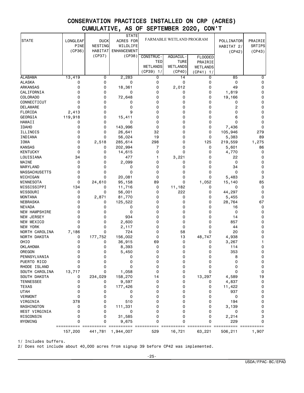|                                |                         |                        | <b>STATE</b>          | FARMABLE WETLAND PROGRAM |             |                 |            |                   |
|--------------------------------|-------------------------|------------------------|-----------------------|--------------------------|-------------|-----------------|------------|-------------------|
| <b>STATE</b>                   | LONGLEAF<br><b>PINE</b> | <b>DUCK</b><br>NESTING | ACRES FOR<br>WILDLIFE |                          |             |                 | POLLINATOR | PRAIRIE<br>SRTIPS |
|                                | (CP36)                  | <b>HABITAT</b>         | <b>ENHANCEMENT</b>    |                          |             |                 | HABITAT 2/ | (CP43)            |
|                                |                         | (CP37)                 | (CP38)                | CONSTRUC-                | AQUACUL -   | <b>FLOODED</b>  | (CP42)     |                   |
|                                |                         |                        |                       | TED                      | <b>TURE</b> | PRAIRIE         |            |                   |
|                                |                         |                        |                       | WETLANDS                 | WETLANDS    | <b>WETLANDS</b> |            |                   |
|                                |                         |                        |                       | (CP39) 1/                | (CP40)      | (CP41) 1/       |            |                   |
| <b>ALABAMA</b>                 | 13,419                  | 0                      | 2,283                 | 0                        | 14          | 0               | 85         | 0                 |
| <b>ALASKA</b>                  | 0                       | 0                      | 0                     | 0                        | 0           | 0               | 0          | 0                 |
| <b>ARKANSAS</b>                | 0                       | 0                      | 18,361                | 0                        | 2,012       | 0               | 49         | 0                 |
| CALIFORNIA                     | 0                       | 0                      | 0                     | 0                        | 0           | 0               | 1,819      | 0                 |
| COLORADO                       | 0                       | 0                      | 72,648                | 0                        | 0           | 0               | 19,166     | 0                 |
| CONNECTICUT                    | 0                       | 0                      | 0                     | $\Omega$                 | 0           | 0               | 0          | 0                 |
| <b>DELAWARE</b>                | 0                       | 0                      | 0                     | 0                        | 0           | 0               | 2          | 0                 |
| FLORIDA                        | 2,413                   | 0                      | 9                     | 0                        | 0           | 0               | 0          | 0                 |
| GEORGIA                        | 119,918                 | 0                      | 15,411                | 0                        | 0           | 0               | 6          | 0                 |
| HAWAII                         | 0                       | 0                      | 0                     | 0                        | 0           | 0               | 0          | 0                 |
| <b>IDAHO</b>                   | 0                       | 0                      | 143,996               | 0                        | 0           | 0               | 7,436      | 0                 |
| ILLINOIS                       | 0                       | 0                      | 26,641                | 32                       | 0           | 0               | 105,946    | 279               |
| INDIANA                        | 0                       | 0                      | 56,024                | 19                       | 0           | 0               | 5,383      | 89                |
| <b>IOWA</b>                    | 0                       | 2,518                  | 285,614               | 298                      | 0           | 125             | 219,559    | 1,275             |
| <b>KANSAS</b>                  | 0                       | 0                      | 202,994               | 7                        | 0           | 0               | 5,601      | 86                |
| <b>KENTUCKY</b>                | 0                       | 0                      | 14,615                | 0                        | 0           | 0               | 4,770      | 0                 |
| LOUISIANA                      | 34                      | 0                      | 477                   | 1                        | 3,221       | 0               | 22         | 0                 |
| MAINE                          | 0                       | 0                      | 2,099                 | 0                        | 0           | 0               | 0          | 0                 |
| MARYLAND                       | 0                       | 0                      | 0                     | 0                        | 0           | 0               | 34         | 0                 |
| <b>MASSACHUSETTS</b>           | 0                       | 0                      | 0                     | 0                        | 0           | 0               | 0          | 0                 |
| MICHIGAN                       | 0                       | 0                      | 20,081                | 0                        | 0           | 0               | 5,483      | 3                 |
| MINNESOTA                      | 0                       | 24,610                 | 95,158                | 89                       | 0           | 1,052           | 15,140     | 85                |
| MISSISSIPPI                    | 134                     | 0                      | 11,716                | 0                        | 11,182      | 0               | 0          | 0                 |
| MISSOURI                       | 0                       | 0                      | 56,001                | 0                        | 222         | 0               | 44,297     | 0                 |
| MONTANA                        | 0                       | 2,871                  | 81,770                | 0                        | 0           | 0               | 5,455      | 0                 |
| NEBRASKA                       | 0                       | 0                      | 125,522               | 0                        | 0           | 0               | 28,764     | 67                |
| <b>NEVADA</b><br>NEW HAMPSHIRE | 0<br>0                  | 0<br>0                 | 0<br>0                | 0<br>0                   | 0<br>0      | 0<br>0          | 16<br>0    | 0                 |
|                                | 0                       | 0                      | 934                   | 0                        | 0           | 0               | 14         | 0                 |
| <b>NEW JERSEY</b>              | 0                       | 0                      |                       | 0                        | 0           | 0               |            | 0                 |
| NEW MEXICO<br><b>NEW YORK</b>  | 0                       | 0                      | 2,600                 | 0                        | 0           | 0               | 857        | 0<br>0            |
| NORTH CAROLINA                 | 7,186                   | 0                      | 2,117<br>724          | 0                        | 58          | 0               | 44<br>20   | 0                 |
| NORTH DAKOTA                   | 0                       | 177,752                | 156,002               | 0                        | 13          | 48,747          | 4,938      | 0                 |
| OHIO                           | 0                       | 0                      | 36,915                | 69                       | 0           | 0               | 3,267      | 1                 |
| <b>OKLAHOMA</b>                | 0                       | 0                      | 8,393                 | 0                        | 0           | 0               | 114        | 0                 |
| OREGON                         | 0                       | 0                      | 5,450                 | 0                        | 0           | 0               | 353        | 0                 |
| PENNSYLVANIA                   | 0                       | 0                      | 0                     | 0                        | 0           | 0               | 8          | 0                 |
| PUERTO RICO                    | 0                       | 0                      | 0                     | 0                        | 0           | 0               | 0          | 0                 |
| RHODE ISLAND                   | 0                       | 0                      | 0                     | 0                        | 0           | 0               | 0          | 0                 |
| SOUTH CAROLINA                 | 13,717                  | 0                      | 1,058                 | 0                        | 0           | 0               | 0          | 0                 |
| SOUTH DAKOTA                   | 0                       | 234,029                | 158,270               | 14                       | 0           | 13,297          | 4,589      | 19                |
| <b>TENNESSEE</b>               | 0                       | 0                      | 9,597                 | 0                        | 0           | 0               | 4,837      | 0                 |
| <b>TEXAS</b>                   | 0                       | 0                      | 177,426               | 0                        | 0           | 0               | 11,422     | 0                 |
| <b>UTAH</b>                    | 0                       | 0                      | 0                     | 0                        | 0           | 0               | 937        | 0                 |
| <b>VERMONT</b>                 | 0                       | 0                      | 0                     | 0                        | 0           | 0               | 0          | 0                 |
| VIRGINIA                       | 378                     | 0                      | 510                   | 0                        | 0           | 0               | 194        | 0                 |
| WASHINGTON                     | 0                       | 0                      | 111,331               | 0                        | 0           | 0               | 3,139      | 0                 |
| WEST VIRGINIA                  | 0                       | 0                      | 0                     | 0                        | 0           | 0               | 0          | 0                 |
| WISCONSIN                      | 0                       | 0                      | 31,585                | 0                        | 0           | 0               | 2,214      | 3                 |
| WYOMING                        | 0                       | 0                      | 9,675                 | 0                        | 0           | 0               | 229        | 0                 |
|                                | ==========<br>157,200   | 441,781                | 1,944,007             | 529                      | 16,721      | 63,221          | 506,211    | 1,907             |
|                                |                         |                        |                       |                          |             |                 |            |                   |

1/ Includes buffers.

2/ Does not include about 40,000 acres from signup 39 before CP42 was implemented.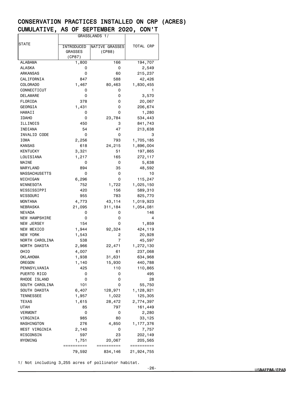|                      | GRASSLANDS 1/       |                       |                       |  |
|----------------------|---------------------|-----------------------|-----------------------|--|
| STATE                |                     |                       |                       |  |
|                      | INTRODUCED          | <b>NATIVE GRASSES</b> | TOTAL CRP             |  |
|                      | <b>GRASSES</b>      | (CP88)                |                       |  |
|                      | (CP87)              |                       |                       |  |
| ALABAMA              | 1,800               | 166                   | 194,707               |  |
| ALASKA               | 0                   | 0                     | 2,549                 |  |
| ARKANSAS             | 0                   | 60                    | 215,237               |  |
| CALIFORNIA           | 847                 | 588                   | 42,426                |  |
| <b>COLORADO</b>      | 1,467               | 80,463                | 1,830,455             |  |
| CONNECTICUT          | 0                   | 0                     | 1                     |  |
| <b>DELAWARE</b>      | 0                   | 0                     | 3,570                 |  |
| FLORIDA              | 378                 | 0                     | 20,067                |  |
| GEORGIA              | 1,431               | 0                     | 206,674               |  |
| HAWAII               | 0                   | 0                     | 1,280                 |  |
| <b>IDAHO</b>         | 0                   | 23,784                | 534,443               |  |
| ILLINOIS             | 450                 | з                     | 841,743               |  |
| INDIANA              | 54                  | 47                    | 213,638               |  |
| INVALID CODE         | 0                   | 0                     | 3                     |  |
| IOWA                 | 2,256               | 793                   | 1,705,185             |  |
| <b>KANSAS</b>        | 618                 | 24,215                | 1,896,004             |  |
| <b>KENTUCKY</b>      | 3,321               | 51                    | 197,865               |  |
| LOUISIANA            | 1,217               | 165                   | 272,117               |  |
| MAINE                | 0                   | 0                     | 5,638                 |  |
| MARYLAND             | 894                 | 35                    | 48,592                |  |
| <b>MASSACHUSETTS</b> | 0                   | 0                     | 10                    |  |
| MICHIGAN             | 6,296               | 0                     | 115,247               |  |
| MINNESOTA            | 752                 | 1,722                 | 1,025,150             |  |
| MISSISSIPPI          | 420                 | 156                   | 589,310               |  |
| MISSOURI             | 955                 | 783                   | 825,770               |  |
| <b>MONTANA</b>       | 4,773               | 43,114                | 1,019,923             |  |
| NEBRASKA             | 21,095              | 311,184               | 1,054,081             |  |
| <b>NEVADA</b>        | 0                   | 0                     | 146                   |  |
| <b>NEW HAMPSHIRE</b> | 0                   | 0                     | 4                     |  |
| <b>NEW JERSEY</b>    | 154                 | 0                     | 1,859                 |  |
| NEW MEXICO           | 1,944               | 92,324                | 424,119               |  |
| NEW YORK             | 1,543               | 2                     | 20,928                |  |
| NORTH CAROLINA       | 538                 | 7                     | 45,597                |  |
| NORTH DAKOTA         | 2,966               | 22,471                | 1,272,130             |  |
| OHIO                 | 4,007               | 61                    | 237,068               |  |
| <b>OKLAHOMA</b>      | 1,938               | 31,631                | 634,968               |  |
| OREGON               | 1,140               | 15,930                | 440,788               |  |
| PENNSYLVANIA         | 425                 | 110                   | 110,865               |  |
| PUERTO RICO          | 0                   | 0                     | 495                   |  |
| RHODE ISLAND         | 0                   | 0                     | 28                    |  |
| SOUTH CAROLINA       | 101                 | 0                     | 55,750                |  |
| SOUTH DAKOTA         | 6,407               | 128,971               | 1,128,921             |  |
| TENNESSEE            | 1,957               | 1,022                 | 125,305               |  |
| TEXAS                | 1,615               | 28,472                | 2,774,397             |  |
| UTAH                 | 85                  | 797                   | 161,449               |  |
| <b>VERMONT</b>       | 0                   | 0                     | 2,280                 |  |
| VIRGINIA             | 985                 | 80                    | 33,125                |  |
| WASHINGTON           | 276                 | 4,850                 | 1, 177, 376           |  |
| WEST VIRGINIA        | 2,140               | 0                     | 7,757                 |  |
| WISCONSIN            | 597                 | 23                    | 202,149               |  |
| WYOMING              | 1,751<br>========== | 20,067<br>==========  | 205,565<br>========== |  |
|                      | 79,592              | 834,146               | 21,924,755            |  |
|                      |                     |                       |                       |  |

1/ Not including 3,255 acres of pollinator habitat.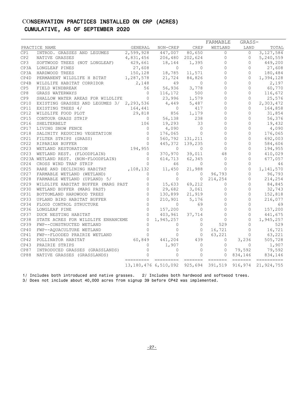|                 |                                                                                                                                                                                                                                            |                |                                                                                | CREP                                         | FARMABLE           | GRASS-                                                   |                                                                                                                                                                                                                                                                                                                                                                                                                                                                                                                               |
|-----------------|--------------------------------------------------------------------------------------------------------------------------------------------------------------------------------------------------------------------------------------------|----------------|--------------------------------------------------------------------------------|----------------------------------------------|--------------------|----------------------------------------------------------|-------------------------------------------------------------------------------------------------------------------------------------------------------------------------------------------------------------------------------------------------------------------------------------------------------------------------------------------------------------------------------------------------------------------------------------------------------------------------------------------------------------------------------|
| CP1             | PRACTICE NAME<br>INTROD. GRASSES AND LEGUMES                                                                                                                                                                                               | 2,599,928      | GENERAL NON-CREP<br>447,007                                                    | 80,650                                       | WETLAND            | LAND<br>$\Omega$<br>$\overline{0}$                       | TOTAL<br>3, 127, 584                                                                                                                                                                                                                                                                                                                                                                                                                                                                                                          |
| CP2             | NATIVE GRASSES                                                                                                                                                                                                                             | 4,831,456      | 206,480 202,624                                                                |                                              | $\overline{0}$     | $\circ$                                                  | 5,240,559                                                                                                                                                                                                                                                                                                                                                                                                                                                                                                                     |
| CP3             | SOFTWOOD TREES (NOT LONGLEAF)                                                                                                                                                                                                              |                |                                                                                | 1,395                                        | $\circ$            | $\circ$                                                  | 449,200                                                                                                                                                                                                                                                                                                                                                                                                                                                                                                                       |
|                 | CP3A LONGLEAF PINES                                                                                                                                                                                                                        |                | 429,661 18,144<br>27,608 0                                                     | $\circ$                                      | $\circ$            | $\circ$                                                  | 27,608                                                                                                                                                                                                                                                                                                                                                                                                                                                                                                                        |
| CP3A            | HARDWOOD TREES                                                                                                                                                                                                                             | 150,128        | 18,785                                                                         | 11,571                                       | $\overline{0}$     | $\overline{0}$                                           | 180,484                                                                                                                                                                                                                                                                                                                                                                                                                                                                                                                       |
| CP4D            | PERMANENT WILDLIFE H BITAT 1,287,578                                                                                                                                                                                                       |                |                                                                                | 21,724 84,826                                | $\circ$            | $\Omega$                                                 | 1,394,128                                                                                                                                                                                                                                                                                                                                                                                                                                                                                                                     |
| CP4B            | WILDLIFE HABITAT CORRIDOR 2,148                                                                                                                                                                                                            |                | 49 49                                                                          | $\circ$                                      | $\overline{0}$     | 0                                                        | 2,197                                                                                                                                                                                                                                                                                                                                                                                                                                                                                                                         |
| CP <sub>5</sub> | FIELD WINDBREAK                                                                                                                                                                                                                            | 56             | 56,936                                                                         | 3,778                                        | $\circ$            | $\circ$                                                  | 60,770                                                                                                                                                                                                                                                                                                                                                                                                                                                                                                                        |
| CP8             | GRASS WATERWAYS                                                                                                                                                                                                                            | $\bigcirc$     |                                                                                | $116, 172$ 500                               | $\Omega$           | $\circ$                                                  | 116,672                                                                                                                                                                                                                                                                                                                                                                                                                                                                                                                       |
| CP <sub>9</sub> | SHALLOW WATER AREAS FOR WILDLIFE 0                                                                                                                                                                                                         |                |                                                                                |                                              | $\mathbf{0}$       | $\circ$                                                  | 25,576                                                                                                                                                                                                                                                                                                                                                                                                                                                                                                                        |
| CP10            | EXISTING GRASSES AND LEGUMES 3/ 2,293,536                                                                                                                                                                                                  |                | 23,996 1,579<br>4,449 5,487                                                    | 5,487                                        | $\circ$            | $\overline{0}$                                           | 2,303,472                                                                                                                                                                                                                                                                                                                                                                                                                                                                                                                     |
| CP11            |                                                                                                                                                                                                                                            |                |                                                                                |                                              | $\Omega$           |                                                          | $\overline{0}$<br>164,858                                                                                                                                                                                                                                                                                                                                                                                                                                                                                                     |
| CP12            | EXISTING GRASSES AND LEGUINED 37 27227311<br>EXISTING TREES 4/ 164,441 0<br>WILDLIFE FOOD PLOT 29,818 856<br>CONTOUR GRASS STRIP 0 56,138<br>SHELTERBELT 106 19,293<br>LIVING SNOW FENCE 0 4,090<br>SALINITY REDUCING VEGETATION 0 176,065 |                | $\begin{array}{cccc} & 0 & 417 \\ & 856 & 1,179 \\ 56,138 & & 238 \end{array}$ |                                              | $\overline{0}$     | $\circ$                                                  | 31,854                                                                                                                                                                                                                                                                                                                                                                                                                                                                                                                        |
| CP15            |                                                                                                                                                                                                                                            |                |                                                                                |                                              | $\overline{0}$     | $\circ$                                                  | 56,376                                                                                                                                                                                                                                                                                                                                                                                                                                                                                                                        |
| CP16            |                                                                                                                                                                                                                                            |                |                                                                                | 33                                           | $\circ$            | $\Omega$                                                 | 19,432                                                                                                                                                                                                                                                                                                                                                                                                                                                                                                                        |
| CP17            |                                                                                                                                                                                                                                            |                |                                                                                | $\bigcirc$                                   | $\mathbf{0}$       | $\circ$                                                  | 4,090                                                                                                                                                                                                                                                                                                                                                                                                                                                                                                                         |
| CP18            |                                                                                                                                                                                                                                            |                |                                                                                | $\circ$                                      | $\Omega$           | $\circ$                                                  | 176,065                                                                                                                                                                                                                                                                                                                                                                                                                                                                                                                       |
| CP21            |                                                                                                                                                                                                                                            |                |                                                                                | 560,792 131,211                              | $\Omega$           | $\circ$                                                  | 692,003                                                                                                                                                                                                                                                                                                                                                                                                                                                                                                                       |
|                 | CP22 RIPARIAN BUFFER                                                                                                                                                                                                                       |                |                                                                                | 445, 372 139, 235                            | $\circ$            | $\circ$                                                  | 584,606                                                                                                                                                                                                                                                                                                                                                                                                                                                                                                                       |
| CP23            |                                                                                                                                                                                                                                            |                |                                                                                | $\bigcirc$                                   | $\bigcirc$         | $\Omega$                                                 | 194,955                                                                                                                                                                                                                                                                                                                                                                                                                                                                                                                       |
|                 |                                                                                                                                                                                                                                            |                |                                                                                | 370,970 39,011                               | 48                 | $\circ$                                                  | 410,029                                                                                                                                                                                                                                                                                                                                                                                                                                                                                                                       |
|                 |                                                                                                                                                                                                                                            | $\overline{0}$ |                                                                                | 614,713 62,345                               | $\overline{0}$     | $\circ$                                                  | 677,057                                                                                                                                                                                                                                                                                                                                                                                                                                                                                                                       |
|                 | CP23 WETLAND REST. (FLOODPLAIN)<br>CP23A WETLAND REST. (NON-FLOODPLAIN)<br>CP24 CROSS WIND TRAP STRIP<br>CP25 RARE AND DECLINING HABITAT<br>CP25 RARE AND DECLINING HABITAT , 108, 132 11, 450<br>CP27 FARMABLE WETLAND (WETLAND) 5/       |                | 46                                                                             | $\circ$                                      | $0$<br>0<br>96,793 | $\circ$                                                  | 46                                                                                                                                                                                                                                                                                                                                                                                                                                                                                                                            |
|                 |                                                                                                                                                                                                                                            |                |                                                                                | 21,988                                       |                    | 0                                                        | 1,141,570                                                                                                                                                                                                                                                                                                                                                                                                                                                                                                                     |
|                 |                                                                                                                                                                                                                                            |                |                                                                                | $\begin{matrix} 0 & 0 \\ 0 & 0 \end{matrix}$ |                    |                                                          | 0 96,793                                                                                                                                                                                                                                                                                                                                                                                                                                                                                                                      |
|                 |                                                                                                                                                                                                                                            |                |                                                                                |                                              | $0\quad 214, 254$  | $\circ$                                                  | 214,254<br>84,845                                                                                                                                                                                                                                                                                                                                                                                                                                                                                                             |
| CP29            |                                                                                                                                                                                                                                            |                |                                                                                |                                              | $\Omega$           | $\circ$                                                  |                                                                                                                                                                                                                                                                                                                                                                                                                                                                                                                               |
| CP30            |                                                                                                                                                                                                                                            |                |                                                                                |                                              | $\overline{0}$     | $\circ$                                                  | 32,743                                                                                                                                                                                                                                                                                                                                                                                                                                                                                                                        |
| CP31            |                                                                                                                                                                                                                                            |                |                                                                                |                                              | $\mathsf{O}$       | $\circ$                                                  | 152,818                                                                                                                                                                                                                                                                                                                                                                                                                                                                                                                       |
| CP33            |                                                                                                                                                                                                                                            |                |                                                                                |                                              | $\overline{0}$     | $\circ$                                                  | 216,077                                                                                                                                                                                                                                                                                                                                                                                                                                                                                                                       |
| CP34            |                                                                                                                                                                                                                                            |                | $0$<br>157,200                                                                 |                                              | $\overline{0}$     | $\circledcirc$                                           | 69                                                                                                                                                                                                                                                                                                                                                                                                                                                                                                                            |
| CP36            | LONGLEAF PINE                                                                                                                                                                                                                              | $\overline{0}$ |                                                                                | $\overline{0}$                               | $\circ$            | $\circ$                                                  | 157,200                                                                                                                                                                                                                                                                                                                                                                                                                                                                                                                       |
| CP37            | DUCK NESTING HABITAT                                                                                                                                                                                                                       | $\Omega$       | 403,961 37,714                                                                 |                                              |                    | $\begin{bmatrix} 0 \\ 0 \\ 529 \end{bmatrix}$<br>$\circ$ | 441,675                                                                                                                                                                                                                                                                                                                                                                                                                                                                                                                       |
| CP38            | STATE ACRES FOR WILDLIFE ENHANCEME                                                                                                                                                                                                         |                | $\begin{array}{cccc} 0 & 1,945,257 & & 0 \\ 0 & & 0 & & 0 \end{array}$         |                                              |                    | $\overline{0}$                                           | 1,945,257                                                                                                                                                                                                                                                                                                                                                                                                                                                                                                                     |
| CP39            | FWP--CONSTRUCTED WETLAND                                                                                                                                                                                                                   |                |                                                                                | $\overline{0}$                               |                    | $\circ$                                                  | 529                                                                                                                                                                                                                                                                                                                                                                                                                                                                                                                           |
| CP40            | FWP--AQUACULTURE WETLAND                                                                                                                                                                                                                   |                |                                                                                |                                              | 16,721             |                                                          | $\overline{0}$<br>16,721                                                                                                                                                                                                                                                                                                                                                                                                                                                                                                      |
| CP41            | FWP--FLOODED PRAIRIE WETLAND                                                                                                                                                                                                               |                |                                                                                |                                              | 63,221             | $\overline{0}$                                           | 63,221                                                                                                                                                                                                                                                                                                                                                                                                                                                                                                                        |
| CP42            | POLLINATOR HABITAT                                                                                                                                                                                                                         |                |                                                                                |                                              | $\overline{0}$     | 3,236                                                    | 505,728                                                                                                                                                                                                                                                                                                                                                                                                                                                                                                                       |
| CP43            |                                                                                                                                                                                                                                            |                | $\begin{smallmatrix} 1, 907 & 0 \\ 0 & 0 \end{smallmatrix}$                    | $\overline{0}$                               | $\Omega$           | $\Omega$                                                 | 1,907                                                                                                                                                                                                                                                                                                                                                                                                                                                                                                                         |
| CP87            |                                                                                                                                                                                                                                            |                |                                                                                | $\overline{0}$                               | $\overline{0}$     |                                                          | $79,592$ $79,592$                                                                                                                                                                                                                                                                                                                                                                                                                                                                                                             |
| CP88            | CONTRODUCED GRASSES (GRASSLANDS)<br>INTRODUCED GRASSES (GRASSLANDS) 0<br>NATIVE GRASSES (GRASSLANDS) 0                                                                                                                                     |                |                                                                                | $\Omega$                                     |                    | 0834,146                                                 | 834,146<br>$\begin{tabular}{ll} \multicolumn{2}{l}{{\color{red}\textbf{a}}} & \multicolumn{2}{l}{\color{blue}\textbf{a}} & \multicolumn{2}{l}{\color{blue}\textbf{a}} & \multicolumn{2}{l}{\color{blue}\textbf{a}} & \multicolumn{2}{l}{\color{blue}\textbf{a}} & \multicolumn{2}{l}{\color{blue}\textbf{a}} & \multicolumn{2}{l}{\color{blue}\textbf{a}} & \multicolumn{2}{l}{\color{blue}\textbf{a}} & \multicolumn{2}{l}{\color{blue}\textbf{a}} & \multicolumn{2}{l}{\color{blue}\textbf{a}} & \multicolumn{2}{l}{\color$ |
|                 |                                                                                                                                                                                                                                            |                | 13, 180, 476 6, 510, 092 925, 694 391, 519                                     |                                              |                    |                                                          | 916, 974 21, 924, 755                                                                                                                                                                                                                                                                                                                                                                                                                                                                                                         |

1/ Includes both introduced and native grasses. 2/ Includes both hardwood and softwood trees.

3/ Does not include about 40,000 acres from signup 39 before CP42 was implemented.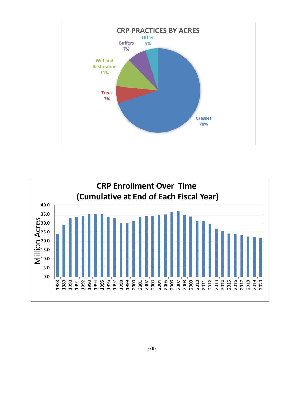

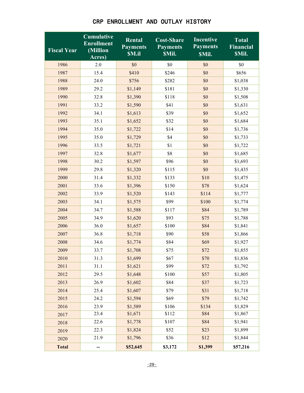| <b>Fiscal Year</b> | <b>Cumulative</b><br><b>Enrollment</b><br>(Million<br>Acres) | <b>Rental</b><br><b>Payments</b><br><b>SM.il</b> | <b>Cost-Share</b><br><b>Payments</b><br><b>SMil.</b> | <b>Incentive</b><br><b>Payments</b><br><b>SMil.</b> | Total<br><b>Financial</b><br><b>SMil.</b> |
|--------------------|--------------------------------------------------------------|--------------------------------------------------|------------------------------------------------------|-----------------------------------------------------|-------------------------------------------|
| 1986               | 2.0                                                          | \$0                                              | \$0                                                  | \$0                                                 | \$0                                       |
| 1987               | 15.4                                                         | \$410                                            | \$246                                                | \$0                                                 | \$656                                     |
| 1988               | 24.0                                                         | \$756                                            | \$282                                                | \$0                                                 | \$1,038                                   |
| 1989               | 29.2                                                         | \$1,149                                          | \$181                                                | \$0                                                 | \$1,330                                   |
| 1990               | 32.8                                                         | \$1,390                                          | \$118                                                | \$0                                                 | \$1,508                                   |
| 1991               | 33.2                                                         | \$1,590                                          | \$41                                                 | \$0                                                 | \$1,631                                   |
| 1992               | 34.1                                                         | \$1,613                                          | \$39                                                 | \$0                                                 | \$1,652                                   |
| 1993               | 35.1                                                         | \$1,652                                          | \$32                                                 | \$0                                                 | \$1,684                                   |
| 1994               | 35.0                                                         | \$1,722                                          | \$14                                                 | \$0                                                 | \$1,736                                   |
| 1995               | 35.0                                                         | \$1,729                                          | \$4                                                  | \$0                                                 | \$1,733                                   |
| 1996               | 33.5                                                         | \$1,721                                          | \$1                                                  | \$0                                                 | \$1,722                                   |
| 1997               | 32.8                                                         | \$1,677                                          | \$8                                                  | \$0                                                 | \$1,685                                   |
| 1998               | 30.2                                                         | \$1,597                                          | \$96                                                 | \$0                                                 | \$1,693                                   |
| 1999               | 29.8                                                         | \$1,320                                          | \$115                                                | \$0                                                 | \$1,435                                   |
| 2000               | 31.4                                                         | \$1,332                                          | \$133                                                | \$10                                                | \$1,475                                   |
| 2001               | 33.6                                                         | \$1,396                                          | \$150                                                | \$78                                                | \$1,624                                   |
| 2002               | 33.9                                                         | \$1,520                                          | \$143                                                | \$114                                               | \$1,777                                   |
| 2003               | 34.1                                                         | \$1,575                                          | \$99                                                 | \$100                                               | \$1,774                                   |
| 2004               | 34.7                                                         | \$1,588                                          | \$117                                                | \$84                                                | \$1,789                                   |
| 2005               | 34.9                                                         | \$1,620                                          | \$93                                                 | \$75                                                | \$1,788                                   |
| 2006               | 36.0                                                         | \$1,657                                          | \$100                                                | \$84                                                | \$1,841                                   |
| 2007               | 36.8                                                         | \$1,718                                          | \$90                                                 | \$58                                                | \$1,866                                   |
| 2008               | 34.6                                                         | \$1,774                                          | \$84                                                 | \$69                                                | \$1,927                                   |
| 2009               | 33.7                                                         | \$1,708                                          | \$75                                                 | \$72                                                | \$1,855                                   |
| 2010               | 31.3                                                         | \$1,699                                          | \$67                                                 | \$70                                                | \$1,836                                   |
| 2011               | 31.1                                                         | \$1,621                                          | \$99                                                 | \$72                                                | \$1,792                                   |
| 2012               | 29.5                                                         | \$1,648                                          | \$100                                                | \$57                                                | \$1,805                                   |
| 2013               | 26.9                                                         | \$1,602                                          | \$84                                                 | \$37                                                | \$1,723                                   |
| 2014               | 25.4                                                         | \$1,607                                          | \$79                                                 | \$31                                                | \$1,718                                   |
| 2015               | 24.2                                                         | \$1,594                                          | \$69                                                 | \$79                                                | \$1,742                                   |
| 2016               | 23.9                                                         | \$1,589                                          | \$106                                                | \$134                                               | \$1,829                                   |
| 2017               | 23.4                                                         | \$1,671                                          | \$112                                                | \$84                                                | \$1,867                                   |
| 2018               | 22.6                                                         | \$1,778                                          | \$107                                                | \$84                                                | \$1,941                                   |
| 2019               | 22.3                                                         | \$1,824                                          | \$52                                                 | \$23                                                | \$1,899                                   |
| 2020               | 21.9                                                         | \$1,796                                          | \$36                                                 | \$12                                                | \$1,844                                   |
| <b>Total</b>       |                                                              | \$52,645                                         | \$3,172                                              | \$1,399                                             | \$57,216                                  |

## CRP ENROLLMENT AND OUTLAY HISTORY